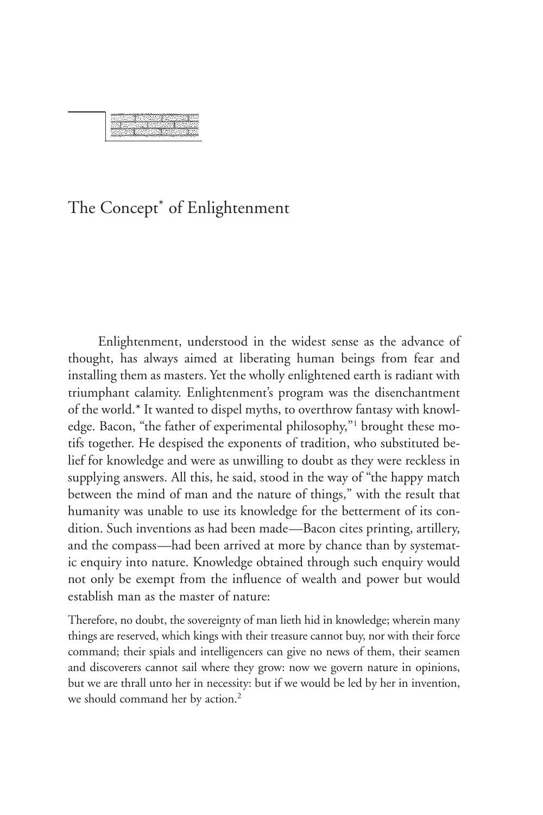## The Concept<sup>\*</sup> of Enlightenment

Enlightenment, understood in the widest sense as the advance of thought, has always aimed at liberating human beings from fear and installing them as masters. Yet the wholly enlightened earth is radiant with triumphant calamity. Enlightenment's program was the disenchantment of the world.\* It wanted to dispel myths, to overthrow fantasy with knowledge. Bacon, "the father of experimental philosophy,"1 brought these motifs together. He despised the exponents of tradition, who substituted belief for knowledge and were as unwilling to doubt as they were reckless in supplying answers. All this, he said, stood in the way of "the happy match between the mind of man and the nature of things," with the result that humanity was unable to use its knowledge for the betterment of its condition. Such inventions as had been made—Bacon cites printing, artillery, and the compass—had been arrived at more by chance than by systematic enquiry into nature. Knowledge obtained through such enquiry would not only be exempt from the influence of wealth and power but would establish man as the master of nature:

Therefore, no doubt, the sovereignty of man lieth hid in knowledge; wherein many things are reserved, which kings with their treasure cannot buy, nor with their force command; their spials and intelligencers can give no news of them, their seamen and discoverers cannot sail where they grow: now we govern nature in opinions, but we are thrall unto her in necessity: but if we would be led by her in invention, we should command her by action.<sup>2</sup>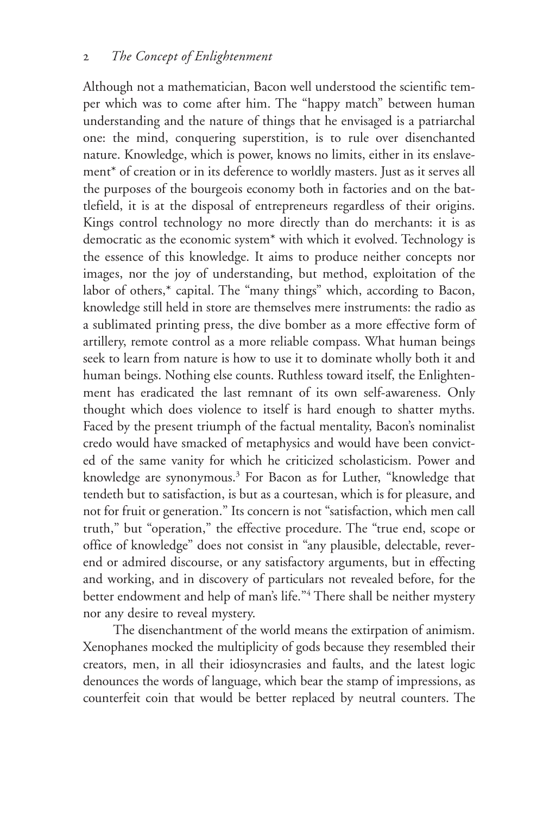Although not a mathematician, Bacon well understood the scientific temper which was to come after him. The "happy match" between human understanding and the nature of things that he envisaged is a patriarchal one: the mind, conquering superstition, is to rule over disenchanted nature. Knowledge, which is power, knows no limits, either in its enslavement\* of creation or in its deference to worldly masters. Just as it serves all the purposes of the bourgeois economy both in factories and on the battlefield, it is at the disposal of entrepreneurs regardless of their origins. Kings control technology no more directly than do merchants: it is as democratic as the economic system\* with which it evolved. Technology is the essence of this knowledge. It aims to produce neither concepts nor images, nor the joy of understanding, but method, exploitation of the labor of others,\* capital. The "many things" which, according to Bacon, knowledge still held in store are themselves mere instruments: the radio as a sublimated printing press, the dive bomber as a more effective form of artillery, remote control as a more reliable compass. What human beings seek to learn from nature is how to use it to dominate wholly both it and human beings. Nothing else counts. Ruthless toward itself, the Enlightenment has eradicated the last remnant of its own self-awareness. Only thought which does violence to itself is hard enough to shatter myths. Faced by the present triumph of the factual mentality, Bacon's nominalist credo would have smacked of metaphysics and would have been convicted of the same vanity for which he criticized scholasticism. Power and knowledge are synonymous.3 For Bacon as for Luther, "knowledge that tendeth but to satisfaction, is but as a courtesan, which is for pleasure, and not for fruit or generation." Its concern is not "satisfaction, which men call truth," but "operation," the effective procedure. The "true end, scope or office of knowledge" does not consist in "any plausible, delectable, reverend or admired discourse, or any satisfactory arguments, but in effecting and working, and in discovery of particulars not revealed before, for the better endowment and help of man's life."<sup>4</sup> There shall be neither mystery nor any desire to reveal mystery.

The disenchantment of the world means the extirpation of animism. Xenophanes mocked the multiplicity of gods because they resembled their creators, men, in all their idiosyncrasies and faults, and the latest logic denounces the words of language, which bear the stamp of impressions, as counterfeit coin that would be better replaced by neutral counters. The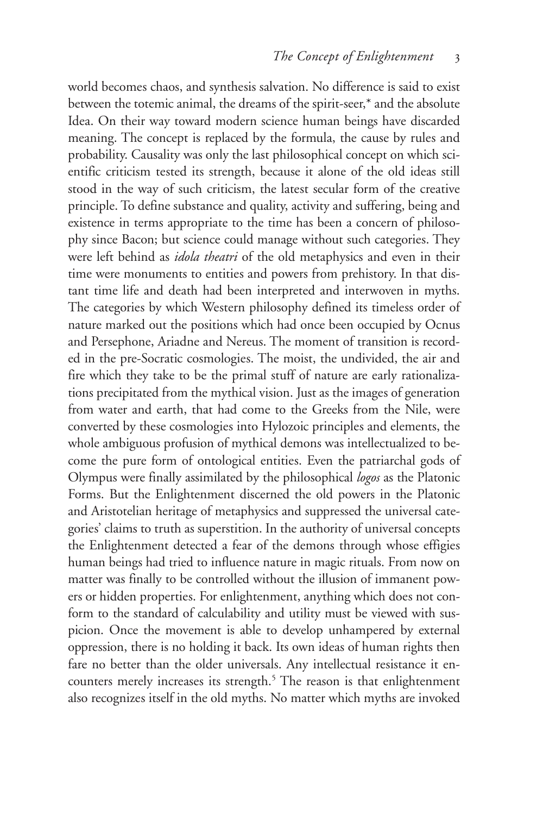world becomes chaos, and synthesis salvation. No difference is said to exist between the totemic animal, the dreams of the spirit-seer,\* and the absolute Idea. On their way toward modern science human beings have discarded meaning. The concept is replaced by the formula, the cause by rules and probability. Causality was only the last philosophical concept on which scientific criticism tested its strength, because it alone of the old ideas still stood in the way of such criticism, the latest secular form of the creative principle. To define substance and quality, activity and suffering, being and existence in terms appropriate to the time has been a concern of philosophy since Bacon; but science could manage without such categories. They were left behind as *idola theatri* of the old metaphysics and even in their time were monuments to entities and powers from prehistory. In that distant time life and death had been interpreted and interwoven in myths. The categories by which Western philosophy defined its timeless order of nature marked out the positions which had once been occupied by Ocnus and Persephone, Ariadne and Nereus. The moment of transition is recorded in the pre-Socratic cosmologies. The moist, the undivided, the air and fire which they take to be the primal stuff of nature are early rationalizations precipitated from the mythical vision. Just as the images of generation from water and earth, that had come to the Greeks from the Nile, were converted by these cosmologies into Hylozoic principles and elements, the whole ambiguous profusion of mythical demons was intellectualized to become the pure form of ontological entities. Even the patriarchal gods of Olympus were finally assimilated by the philosophical *logos* as the Platonic Forms. But the Enlightenment discerned the old powers in the Platonic and Aristotelian heritage of metaphysics and suppressed the universal categories' claims to truth as superstition. In the authority of universal concepts the Enlightenment detected a fear of the demons through whose effigies human beings had tried to influence nature in magic rituals. From now on matter was finally to be controlled without the illusion of immanent powers or hidden properties. For enlightenment, anything which does not conform to the standard of calculability and utility must be viewed with suspicion. Once the movement is able to develop unhampered by external oppression, there is no holding it back. Its own ideas of human rights then fare no better than the older universals. Any intellectual resistance it encounters merely increases its strength.<sup>5</sup> The reason is that enlightenment also recognizes itself in the old myths. No matter which myths are invoked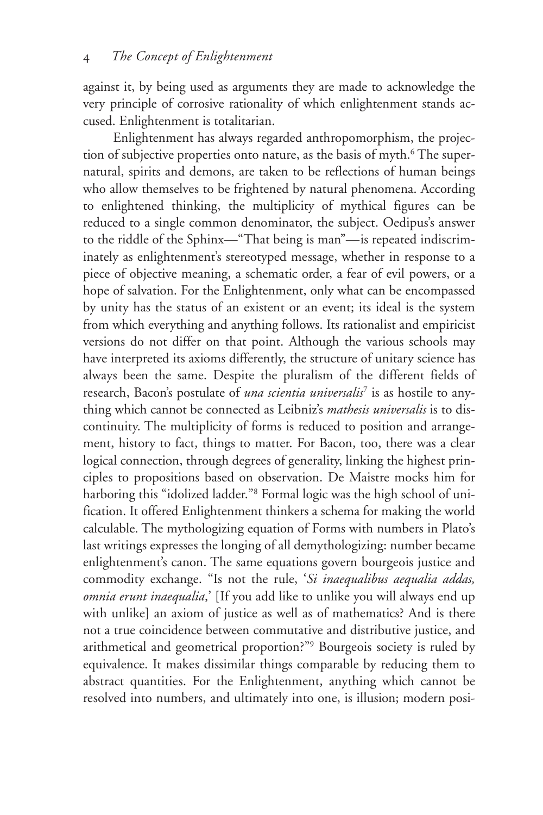against it, by being used as arguments they are made to acknowledge the very principle of corrosive rationality of which enlightenment stands accused. Enlightenment is totalitarian.

Enlightenment has always regarded anthropomorphism, the projection of subjective properties onto nature, as the basis of myth.<sup>6</sup> The supernatural, spirits and demons, are taken to be reflections of human beings who allow themselves to be frightened by natural phenomena. According to enlightened thinking, the multiplicity of mythical figures can be reduced to a single common denominator, the subject. Oedipus's answer to the riddle of the Sphinx—"That being is man"—is repeated indiscriminately as enlightenment's stereotyped message, whether in response to a piece of objective meaning, a schematic order, a fear of evil powers, or a hope of salvation. For the Enlightenment, only what can be encompassed by unity has the status of an existent or an event; its ideal is the system from which everything and anything follows. Its rationalist and empiricist versions do not differ on that point. Although the various schools may have interpreted its axioms differently, the structure of unitary science has always been the same. Despite the pluralism of the different fields of research, Bacon's postulate of *una scientia universalis*<sup>7</sup> is as hostile to anything which cannot be connected as Leibniz's *mathesis universalis* is to discontinuity. The multiplicity of forms is reduced to position and arrangement, history to fact, things to matter. For Bacon, too, there was a clear logical connection, through degrees of generality, linking the highest principles to propositions based on observation. De Maistre mocks him for harboring this "idolized ladder."8 Formal logic was the high school of unification. It offered Enlightenment thinkers a schema for making the world calculable. The mythologizing equation of Forms with numbers in Plato's last writings expresses the longing of all demythologizing: number became enlightenment's canon. The same equations govern bourgeois justice and commodity exchange. "Is not the rule, '*Si inaequalibus aequalia addas, omnia erunt inaequalia*,' [If you add like to unlike you will always end up with unlike] an axiom of justice as well as of mathematics? And is there not a true coincidence between commutative and distributive justice, and arithmetical and geometrical proportion?"9 Bourgeois society is ruled by equivalence. It makes dissimilar things comparable by reducing them to abstract quantities. For the Enlightenment, anything which cannot be resolved into numbers, and ultimately into one, is illusion; modern posi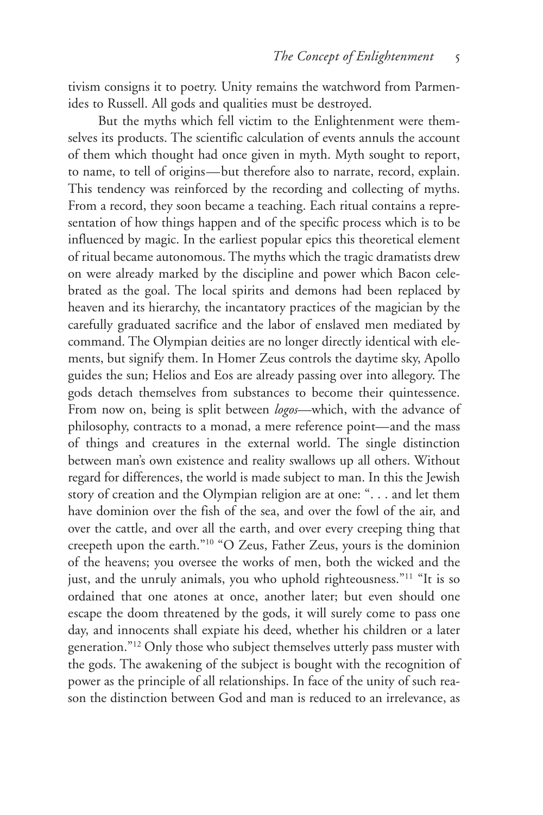tivism consigns it to poetry. Unity remains the watchword from Parmenides to Russell. All gods and qualities must be destroyed.

But the myths which fell victim to the Enlightenment were themselves its products. The scientific calculation of events annuls the account of them which thought had once given in myth. Myth sought to report, to name, to tell of origins—but therefore also to narrate, record, explain. This tendency was reinforced by the recording and collecting of myths. From a record, they soon became a teaching. Each ritual contains a representation of how things happen and of the specific process which is to be influenced by magic. In the earliest popular epics this theoretical element of ritual became autonomous. The myths which the tragic dramatists drew on were already marked by the discipline and power which Bacon celebrated as the goal. The local spirits and demons had been replaced by heaven and its hierarchy, the incantatory practices of the magician by the carefully graduated sacrifice and the labor of enslaved men mediated by command. The Olympian deities are no longer directly identical with elements, but signify them. In Homer Zeus controls the daytime sky, Apollo guides the sun; Helios and Eos are already passing over into allegory. The gods detach themselves from substances to become their quintessence. From now on, being is split between *logos*—which, with the advance of philosophy, contracts to a monad, a mere reference point—and the mass of things and creatures in the external world. The single distinction between man's own existence and reality swallows up all others. Without regard for differences, the world is made subject to man. In this the Jewish story of creation and the Olympian religion are at one: ". . . and let them have dominion over the fish of the sea, and over the fowl of the air, and over the cattle, and over all the earth, and over every creeping thing that creepeth upon the earth."10 "O Zeus, Father Zeus, yours is the dominion of the heavens; you oversee the works of men, both the wicked and the just, and the unruly animals, you who uphold righteousness."<sup>11</sup> "It is so ordained that one atones at once, another later; but even should one escape the doom threatened by the gods, it will surely come to pass one day, and innocents shall expiate his deed, whether his children or a later generation."12 Only those who subject themselves utterly pass muster with the gods. The awakening of the subject is bought with the recognition of power as the principle of all relationships. In face of the unity of such reason the distinction between God and man is reduced to an irrelevance, as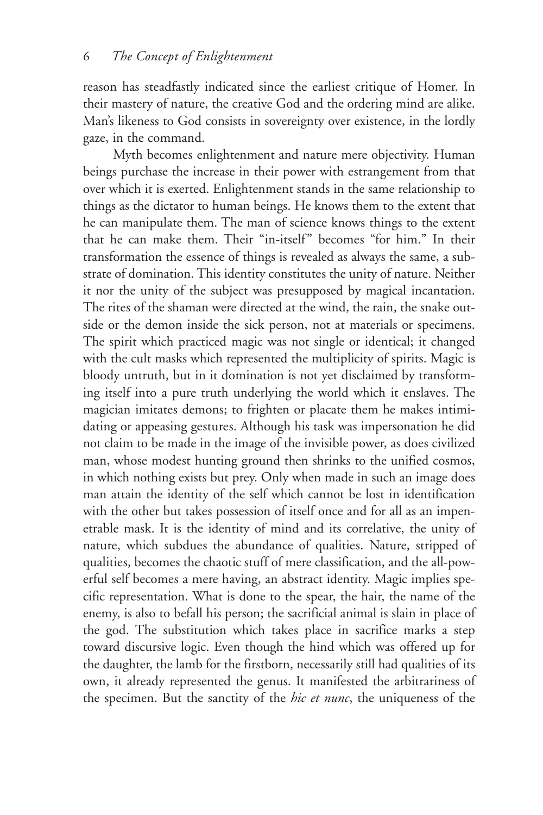reason has steadfastly indicated since the earliest critique of Homer. In their mastery of nature, the creative God and the ordering mind are alike. Man's likeness to God consists in sovereignty over existence, in the lordly gaze, in the command.

Myth becomes enlightenment and nature mere objectivity. Human beings purchase the increase in their power with estrangement from that over which it is exerted. Enlightenment stands in the same relationship to things as the dictator to human beings. He knows them to the extent that he can manipulate them. The man of science knows things to the extent that he can make them. Their "in-itself" becomes "for him." In their transformation the essence of things is revealed as always the same, a substrate of domination. This identity constitutes the unity of nature. Neither it nor the unity of the subject was presupposed by magical incantation. The rites of the shaman were directed at the wind, the rain, the snake outside or the demon inside the sick person, not at materials or specimens. The spirit which practiced magic was not single or identical; it changed with the cult masks which represented the multiplicity of spirits. Magic is bloody untruth, but in it domination is not yet disclaimed by transforming itself into a pure truth underlying the world which it enslaves. The magician imitates demons; to frighten or placate them he makes intimidating or appeasing gestures. Although his task was impersonation he did not claim to be made in the image of the invisible power, as does civilized man, whose modest hunting ground then shrinks to the unified cosmos, in which nothing exists but prey. Only when made in such an image does man attain the identity of the self which cannot be lost in identification with the other but takes possession of itself once and for all as an impenetrable mask. It is the identity of mind and its correlative, the unity of nature, which subdues the abundance of qualities. Nature, stripped of qualities, becomes the chaotic stuff of mere classification, and the all-powerful self becomes a mere having, an abstract identity. Magic implies specific representation. What is done to the spear, the hair, the name of the enemy, is also to befall his person; the sacrificial animal is slain in place of the god. The substitution which takes place in sacrifice marks a step toward discursive logic. Even though the hind which was offered up for the daughter, the lamb for the firstborn, necessarily still had qualities of its own, it already represented the genus. It manifested the arbitrariness of the specimen. But the sanctity of the *hic et nunc*, the uniqueness of the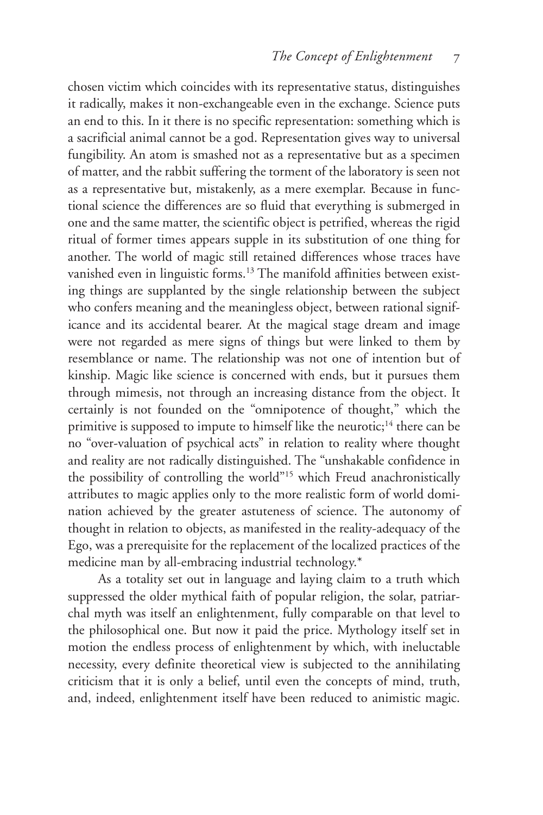chosen victim which coincides with its representative status, distinguishes it radically, makes it non-exchangeable even in the exchange. Science puts an end to this. In it there is no specific representation: something which is a sacrificial animal cannot be a god. Representation gives way to universal fungibility. An atom is smashed not as a representative but as a specimen of matter, and the rabbit suffering the torment of the laboratory is seen not as a representative but, mistakenly, as a mere exemplar. Because in functional science the differences are so fluid that everything is submerged in one and the same matter, the scientific object is petrified, whereas the rigid ritual of former times appears supple in its substitution of one thing for another. The world of magic still retained differences whose traces have vanished even in linguistic forms.<sup>13</sup> The manifold affinities between existing things are supplanted by the single relationship between the subject who confers meaning and the meaningless object, between rational significance and its accidental bearer. At the magical stage dream and image were not regarded as mere signs of things but were linked to them by resemblance or name. The relationship was not one of intention but of kinship. Magic like science is concerned with ends, but it pursues them through mimesis, not through an increasing distance from the object. It certainly is not founded on the "omnipotence of thought," which the primitive is supposed to impute to himself like the neurotic;<sup>14</sup> there can be no "over-valuation of psychical acts" in relation to reality where thought and reality are not radically distinguished. The "unshakable confidence in the possibility of controlling the world"15 which Freud anachronistically attributes to magic applies only to the more realistic form of world domination achieved by the greater astuteness of science. The autonomy of thought in relation to objects, as manifested in the reality-adequacy of the Ego, was a prerequisite for the replacement of the localized practices of the medicine man by all-embracing industrial technology.\*

As a totality set out in language and laying claim to a truth which suppressed the older mythical faith of popular religion, the solar, patriarchal myth was itself an enlightenment, fully comparable on that level to the philosophical one. But now it paid the price. Mythology itself set in motion the endless process of enlightenment by which, with ineluctable necessity, every definite theoretical view is subjected to the annihilating criticism that it is only a belief, until even the concepts of mind, truth, and, indeed, enlightenment itself have been reduced to animistic magic.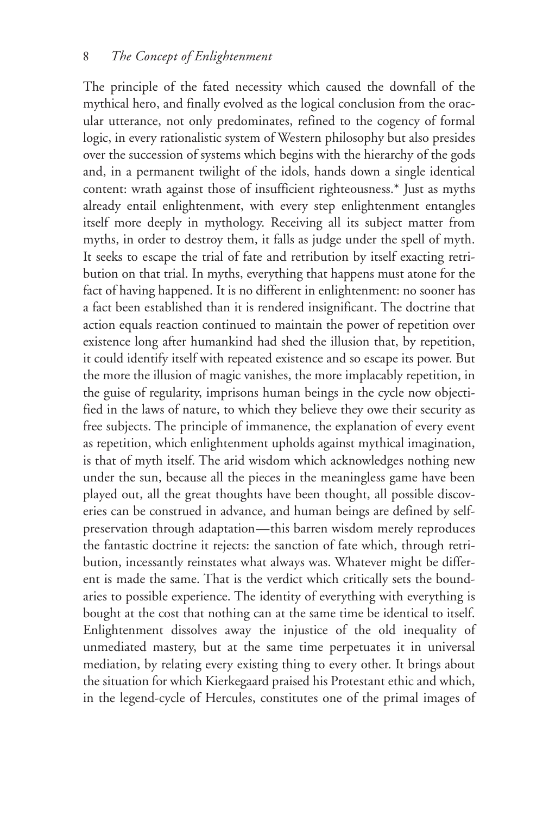The principle of the fated necessity which caused the downfall of the mythical hero, and finally evolved as the logical conclusion from the oracular utterance, not only predominates, refined to the cogency of formal logic, in every rationalistic system of Western philosophy but also presides over the succession of systems which begins with the hierarchy of the gods and, in a permanent twilight of the idols, hands down a single identical content: wrath against those of insufficient righteousness.\* Just as myths already entail enlightenment, with every step enlightenment entangles itself more deeply in mythology. Receiving all its subject matter from myths, in order to destroy them, it falls as judge under the spell of myth. It seeks to escape the trial of fate and retribution by itself exacting retribution on that trial. In myths, everything that happens must atone for the fact of having happened. It is no different in enlightenment: no sooner has a fact been established than it is rendered insignificant. The doctrine that action equals reaction continued to maintain the power of repetition over existence long after humankind had shed the illusion that, by repetition, it could identify itself with repeated existence and so escape its power. But the more the illusion of magic vanishes, the more implacably repetition, in the guise of regularity, imprisons human beings in the cycle now objectified in the laws of nature, to which they believe they owe their security as free subjects. The principle of immanence, the explanation of every event as repetition, which enlightenment upholds against mythical imagination, is that of myth itself. The arid wisdom which acknowledges nothing new under the sun, because all the pieces in the meaningless game have been played out, all the great thoughts have been thought, all possible discoveries can be construed in advance, and human beings are defined by selfpreservation through adaptation—this barren wisdom merely reproduces the fantastic doctrine it rejects: the sanction of fate which, through retribution, incessantly reinstates what always was. Whatever might be different is made the same. That is the verdict which critically sets the boundaries to possible experience. The identity of everything with everything is bought at the cost that nothing can at the same time be identical to itself. Enlightenment dissolves away the injustice of the old inequality of unmediated mastery, but at the same time perpetuates it in universal mediation, by relating every existing thing to every other. It brings about the situation for which Kierkegaard praised his Protestant ethic and which, in the legend-cycle of Hercules, constitutes one of the primal images of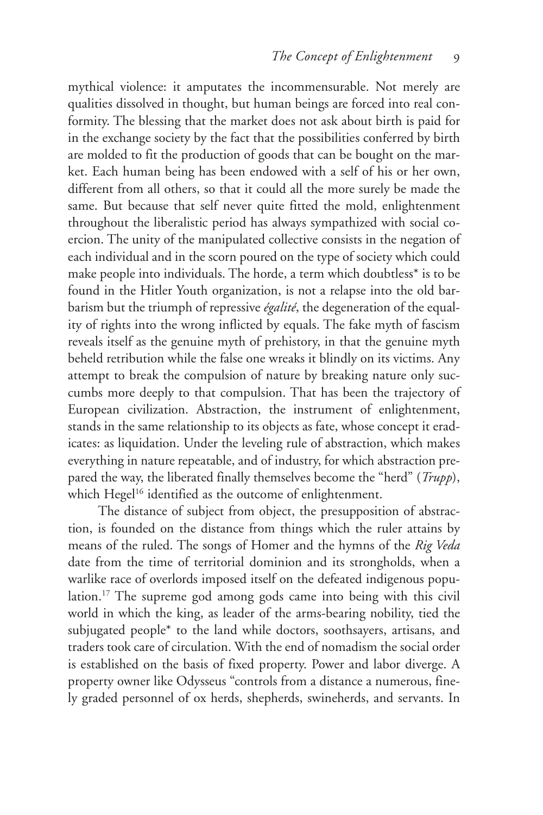mythical violence: it amputates the incommensurable. Not merely are qualities dissolved in thought, but human beings are forced into real conformity. The blessing that the market does not ask about birth is paid for in the exchange society by the fact that the possibilities conferred by birth are molded to fit the production of goods that can be bought on the market. Each human being has been endowed with a self of his or her own, different from all others, so that it could all the more surely be made the same. But because that self never quite fitted the mold, enlightenment throughout the liberalistic period has always sympathized with social coercion. The unity of the manipulated collective consists in the negation of each individual and in the scorn poured on the type of society which could make people into individuals. The horde, a term which doubtless\* is to be found in the Hitler Youth organization, is not a relapse into the old barbarism but the triumph of repressive *égalité*, the degeneration of the equality of rights into the wrong inflicted by equals. The fake myth of fascism reveals itself as the genuine myth of prehistory, in that the genuine myth beheld retribution while the false one wreaks it blindly on its victims. Any attempt to break the compulsion of nature by breaking nature only succumbs more deeply to that compulsion. That has been the trajectory of European civilization. Abstraction, the instrument of enlightenment, stands in the same relationship to its objects as fate, whose concept it eradicates: as liquidation. Under the leveling rule of abstraction, which makes everything in nature repeatable, and of industry, for which abstraction prepared the way, the liberated finally themselves become the "herd" (*Trupp*), which Hegel<sup>16</sup> identified as the outcome of enlightenment.

The distance of subject from object, the presupposition of abstraction, is founded on the distance from things which the ruler attains by means of the ruled. The songs of Homer and the hymns of the *Rig Veda* date from the time of territorial dominion and its strongholds, when a warlike race of overlords imposed itself on the defeated indigenous population.17 The supreme god among gods came into being with this civil world in which the king, as leader of the arms-bearing nobility, tied the subjugated people\* to the land while doctors, soothsayers, artisans, and traders took care of circulation. With the end of nomadism the social order is established on the basis of fixed property. Power and labor diverge. A property owner like Odysseus "controls from a distance a numerous, finely graded personnel of ox herds, shepherds, swineherds, and servants. In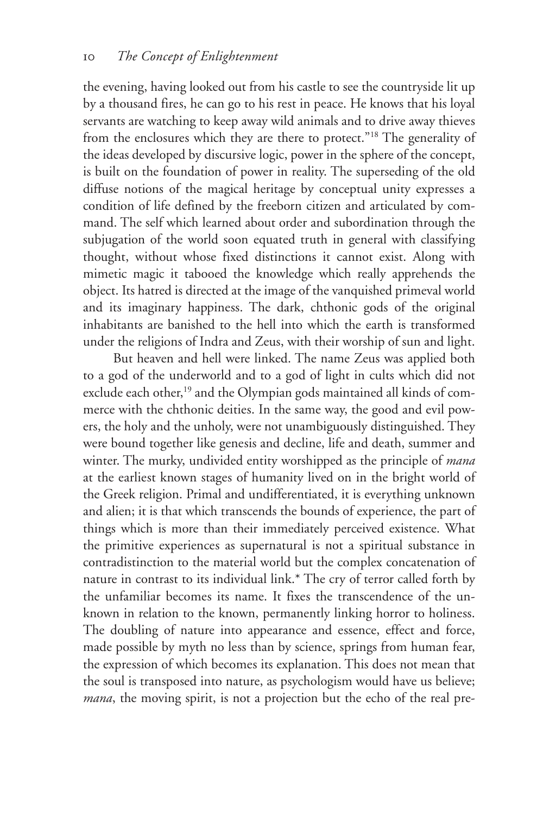the evening, having looked out from his castle to see the countryside lit up by a thousand fires, he can go to his rest in peace. He knows that his loyal servants are watching to keep away wild animals and to drive away thieves from the enclosures which they are there to protect."18 The generality of the ideas developed by discursive logic, power in the sphere of the concept, is built on the foundation of power in reality. The superseding of the old diffuse notions of the magical heritage by conceptual unity expresses a condition of life defined by the freeborn citizen and articulated by command. The self which learned about order and subordination through the subjugation of the world soon equated truth in general with classifying thought, without whose fixed distinctions it cannot exist. Along with mimetic magic it tabooed the knowledge which really apprehends the object. Its hatred is directed at the image of the vanquished primeval world and its imaginary happiness. The dark, chthonic gods of the original inhabitants are banished to the hell into which the earth is transformed under the religions of Indra and Zeus, with their worship of sun and light.

But heaven and hell were linked. The name Zeus was applied both to a god of the underworld and to a god of light in cults which did not exclude each other,<sup>19</sup> and the Olympian gods maintained all kinds of commerce with the chthonic deities. In the same way, the good and evil powers, the holy and the unholy, were not unambiguously distinguished. They were bound together like genesis and decline, life and death, summer and winter. The murky, undivided entity worshipped as the principle of *mana* at the earliest known stages of humanity lived on in the bright world of the Greek religion. Primal and undifferentiated, it is everything unknown and alien; it is that which transcends the bounds of experience, the part of things which is more than their immediately perceived existence. What the primitive experiences as supernatural is not a spiritual substance in contradistinction to the material world but the complex concatenation of nature in contrast to its individual link.\* The cry of terror called forth by the unfamiliar becomes its name. It fixes the transcendence of the unknown in relation to the known, permanently linking horror to holiness. The doubling of nature into appearance and essence, effect and force, made possible by myth no less than by science, springs from human fear, the expression of which becomes its explanation. This does not mean that the soul is transposed into nature, as psychologism would have us believe; *mana*, the moving spirit, is not a projection but the echo of the real pre-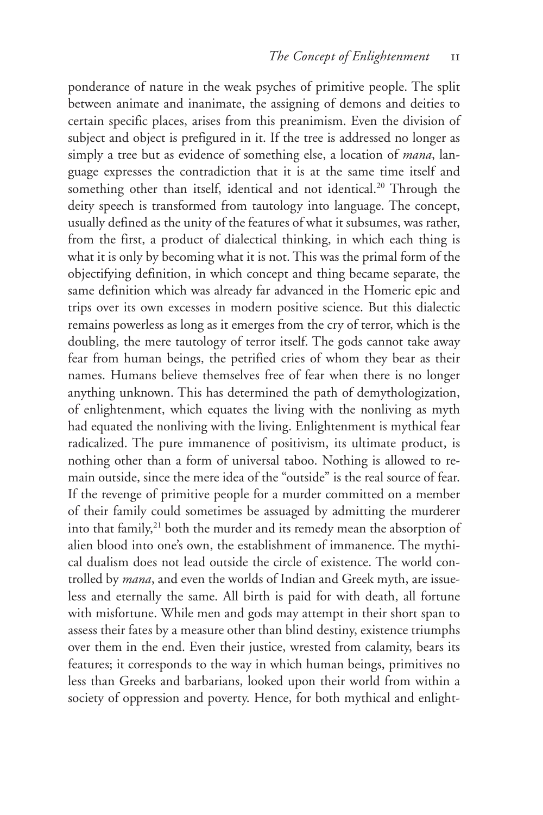ponderance of nature in the weak psyches of primitive people. The split between animate and inanimate, the assigning of demons and deities to certain specific places, arises from this preanimism. Even the division of subject and object is prefigured in it. If the tree is addressed no longer as simply a tree but as evidence of something else, a location of *mana*, language expresses the contradiction that it is at the same time itself and something other than itself, identical and not identical.<sup>20</sup> Through the deity speech is transformed from tautology into language. The concept, usually defined as the unity of the features of what it subsumes, was rather, from the first, a product of dialectical thinking, in which each thing is what it is only by becoming what it is not. This was the primal form of the objectifying definition, in which concept and thing became separate, the same definition which was already far advanced in the Homeric epic and trips over its own excesses in modern positive science. But this dialectic remains powerless as long as it emerges from the cry of terror, which is the doubling, the mere tautology of terror itself. The gods cannot take away fear from human beings, the petrified cries of whom they bear as their names. Humans believe themselves free of fear when there is no longer anything unknown. This has determined the path of demythologization, of enlightenment, which equates the living with the nonliving as myth had equated the nonliving with the living. Enlightenment is mythical fear radicalized. The pure immanence of positivism, its ultimate product, is nothing other than a form of universal taboo. Nothing is allowed to remain outside, since the mere idea of the "outside" is the real source of fear. If the revenge of primitive people for a murder committed on a member of their family could sometimes be assuaged by admitting the murderer into that family,<sup>21</sup> both the murder and its remedy mean the absorption of alien blood into one's own, the establishment of immanence. The mythical dualism does not lead outside the circle of existence. The world controlled by *mana*, and even the worlds of Indian and Greek myth, are issueless and eternally the same. All birth is paid for with death, all fortune with misfortune. While men and gods may attempt in their short span to assess their fates by a measure other than blind destiny, existence triumphs over them in the end. Even their justice, wrested from calamity, bears its features; it corresponds to the way in which human beings, primitives no less than Greeks and barbarians, looked upon their world from within a society of oppression and poverty. Hence, for both mythical and enlight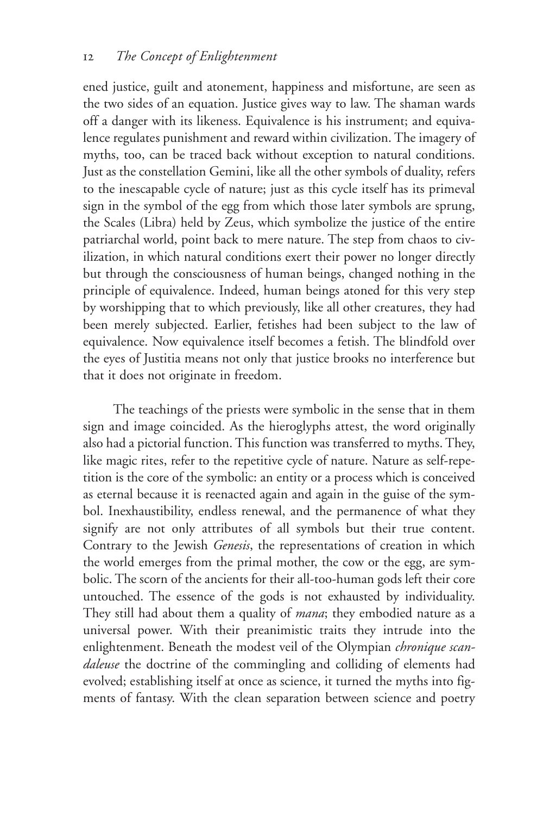ened justice, guilt and atonement, happiness and misfortune, are seen as the two sides of an equation. Justice gives way to law. The shaman wards off a danger with its likeness. Equivalence is his instrument; and equivalence regulates punishment and reward within civilization. The imagery of myths, too, can be traced back without exception to natural conditions. Just as the constellation Gemini, like all the other symbols of duality, refers to the inescapable cycle of nature; just as this cycle itself has its primeval sign in the symbol of the egg from which those later symbols are sprung, the Scales (Libra) held by Zeus, which symbolize the justice of the entire patriarchal world, point back to mere nature. The step from chaos to civilization, in which natural conditions exert their power no longer directly but through the consciousness of human beings, changed nothing in the principle of equivalence. Indeed, human beings atoned for this very step by worshipping that to which previously, like all other creatures, they had been merely subjected. Earlier, fetishes had been subject to the law of equivalence. Now equivalence itself becomes a fetish. The blindfold over the eyes of Justitia means not only that justice brooks no interference but that it does not originate in freedom.

The teachings of the priests were symbolic in the sense that in them sign and image coincided. As the hieroglyphs attest, the word originally also had a pictorial function. This function was transferred to myths. They, like magic rites, refer to the repetitive cycle of nature. Nature as self-repetition is the core of the symbolic: an entity or a process which is conceived as eternal because it is reenacted again and again in the guise of the symbol. Inexhaustibility, endless renewal, and the permanence of what they signify are not only attributes of all symbols but their true content. Contrary to the Jewish *Genesis*, the representations of creation in which the world emerges from the primal mother, the cow or the egg, are symbolic. The scorn of the ancients for their all-too-human gods left their core untouched. The essence of the gods is not exhausted by individuality. They still had about them a quality of *mana*; they embodied nature as a universal power. With their preanimistic traits they intrude into the enlightenment. Beneath the modest veil of the Olympian *chronique scandaleuse* the doctrine of the commingling and colliding of elements had evolved; establishing itself at once as science, it turned the myths into figments of fantasy. With the clean separation between science and poetry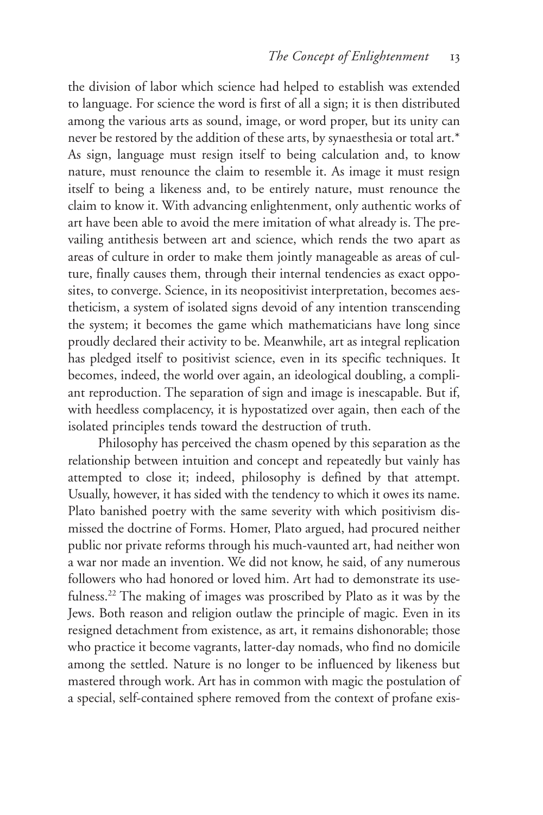the division of labor which science had helped to establish was extended to language. For science the word is first of all a sign; it is then distributed among the various arts as sound, image, or word proper, but its unity can never be restored by the addition of these arts, by synaesthesia or total art.\* As sign, language must resign itself to being calculation and, to know nature, must renounce the claim to resemble it. As image it must resign itself to being a likeness and, to be entirely nature, must renounce the claim to know it. With advancing enlightenment, only authentic works of art have been able to avoid the mere imitation of what already is. The prevailing antithesis between art and science, which rends the two apart as areas of culture in order to make them jointly manageable as areas of culture, finally causes them, through their internal tendencies as exact opposites, to converge. Science, in its neopositivist interpretation, becomes aestheticism, a system of isolated signs devoid of any intention transcending the system; it becomes the game which mathematicians have long since proudly declared their activity to be. Meanwhile, art as integral replication has pledged itself to positivist science, even in its specific techniques. It becomes, indeed, the world over again, an ideological doubling, a compliant reproduction. The separation of sign and image is inescapable. But if, with heedless complacency, it is hypostatized over again, then each of the isolated principles tends toward the destruction of truth.

Philosophy has perceived the chasm opened by this separation as the relationship between intuition and concept and repeatedly but vainly has attempted to close it; indeed, philosophy is defined by that attempt. Usually, however, it has sided with the tendency to which it owes its name. Plato banished poetry with the same severity with which positivism dismissed the doctrine of Forms. Homer, Plato argued, had procured neither public nor private reforms through his much-vaunted art, had neither won a war nor made an invention. We did not know, he said, of any numerous followers who had honored or loved him. Art had to demonstrate its usefulness.22 The making of images was proscribed by Plato as it was by the Jews. Both reason and religion outlaw the principle of magic. Even in its resigned detachment from existence, as art, it remains dishonorable; those who practice it become vagrants, latter-day nomads, who find no domicile among the settled. Nature is no longer to be influenced by likeness but mastered through work. Art has in common with magic the postulation of a special, self-contained sphere removed from the context of profane exis-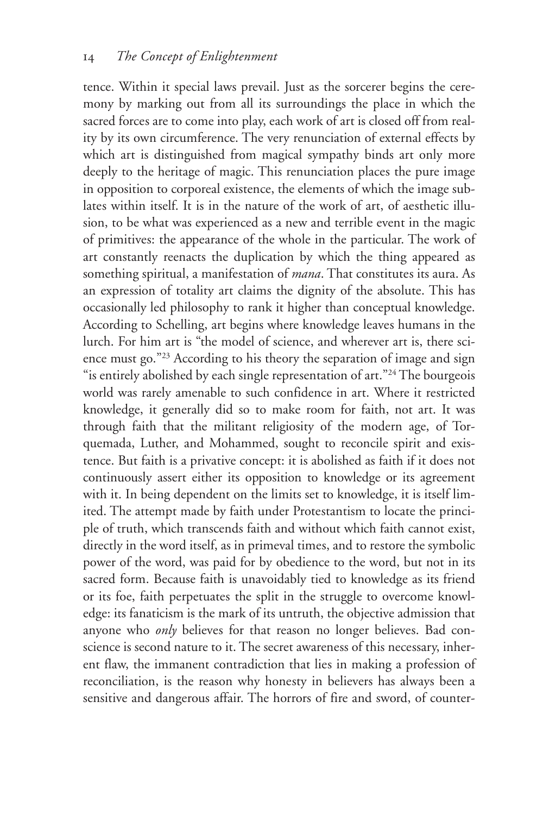tence. Within it special laws prevail. Just as the sorcerer begins the ceremony by marking out from all its surroundings the place in which the sacred forces are to come into play, each work of art is closed off from reality by its own circumference. The very renunciation of external effects by which art is distinguished from magical sympathy binds art only more deeply to the heritage of magic. This renunciation places the pure image in opposition to corporeal existence, the elements of which the image sublates within itself. It is in the nature of the work of art, of aesthetic illusion, to be what was experienced as a new and terrible event in the magic of primitives: the appearance of the whole in the particular. The work of art constantly reenacts the duplication by which the thing appeared as something spiritual, a manifestation of *mana*. That constitutes its aura. As an expression of totality art claims the dignity of the absolute. This has occasionally led philosophy to rank it higher than conceptual knowledge. According to Schelling, art begins where knowledge leaves humans in the lurch. For him art is "the model of science, and wherever art is, there science must go."23 According to his theory the separation of image and sign "is entirely abolished by each single representation of art."24 The bourgeois world was rarely amenable to such confidence in art. Where it restricted knowledge, it generally did so to make room for faith, not art. It was through faith that the militant religiosity of the modern age, of Torquemada, Luther, and Mohammed, sought to reconcile spirit and existence. But faith is a privative concept: it is abolished as faith if it does not continuously assert either its opposition to knowledge or its agreement with it. In being dependent on the limits set to knowledge, it is itself limited. The attempt made by faith under Protestantism to locate the principle of truth, which transcends faith and without which faith cannot exist, directly in the word itself, as in primeval times, and to restore the symbolic power of the word, was paid for by obedience to the word, but not in its sacred form. Because faith is unavoidably tied to knowledge as its friend or its foe, faith perpetuates the split in the struggle to overcome knowledge: its fanaticism is the mark of its untruth, the objective admission that anyone who *only* believes for that reason no longer believes. Bad conscience is second nature to it. The secret awareness of this necessary, inherent flaw, the immanent contradiction that lies in making a profession of reconciliation, is the reason why honesty in believers has always been a sensitive and dangerous affair. The horrors of fire and sword, of counter-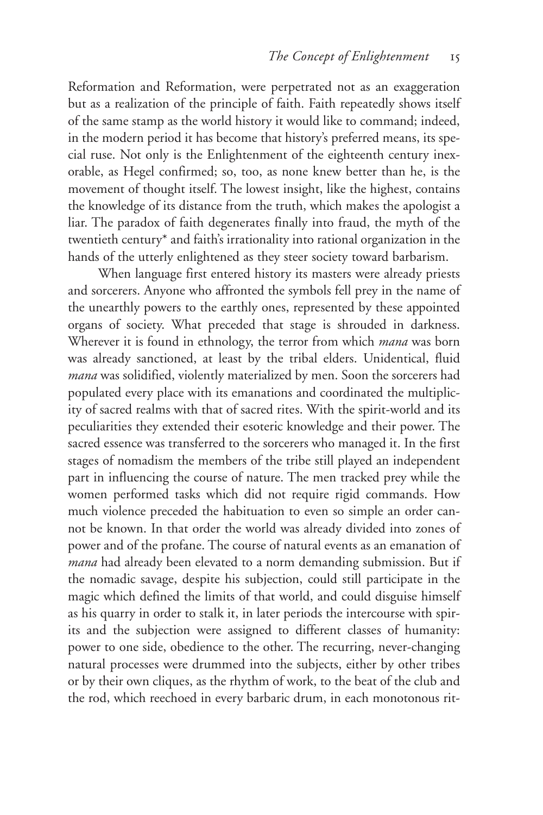Reformation and Reformation, were perpetrated not as an exaggeration but as a realization of the principle of faith. Faith repeatedly shows itself of the same stamp as the world history it would like to command; indeed, in the modern period it has become that history's preferred means, its special ruse. Not only is the Enlightenment of the eighteenth century inexorable, as Hegel confirmed; so, too, as none knew better than he, is the movement of thought itself. The lowest insight, like the highest, contains the knowledge of its distance from the truth, which makes the apologist a liar. The paradox of faith degenerates finally into fraud, the myth of the twentieth century\* and faith's irrationality into rational organization in the hands of the utterly enlightened as they steer society toward barbarism.

When language first entered history its masters were already priests and sorcerers. Anyone who affronted the symbols fell prey in the name of the unearthly powers to the earthly ones, represented by these appointed organs of society. What preceded that stage is shrouded in darkness. Wherever it is found in ethnology, the terror from which *mana* was born was already sanctioned, at least by the tribal elders. Unidentical, fluid *mana* was solidified, violently materialized by men. Soon the sorcerers had populated every place with its emanations and coordinated the multiplicity of sacred realms with that of sacred rites. With the spirit-world and its peculiarities they extended their esoteric knowledge and their power. The sacred essence was transferred to the sorcerers who managed it. In the first stages of nomadism the members of the tribe still played an independent part in influencing the course of nature. The men tracked prey while the women performed tasks which did not require rigid commands. How much violence preceded the habituation to even so simple an order cannot be known. In that order the world was already divided into zones of power and of the profane. The course of natural events as an emanation of *mana* had already been elevated to a norm demanding submission. But if the nomadic savage, despite his subjection, could still participate in the magic which defined the limits of that world, and could disguise himself as his quarry in order to stalk it, in later periods the intercourse with spirits and the subjection were assigned to different classes of humanity: power to one side, obedience to the other. The recurring, never-changing natural processes were drummed into the subjects, either by other tribes or by their own cliques, as the rhythm of work, to the beat of the club and the rod, which reechoed in every barbaric drum, in each monotonous rit-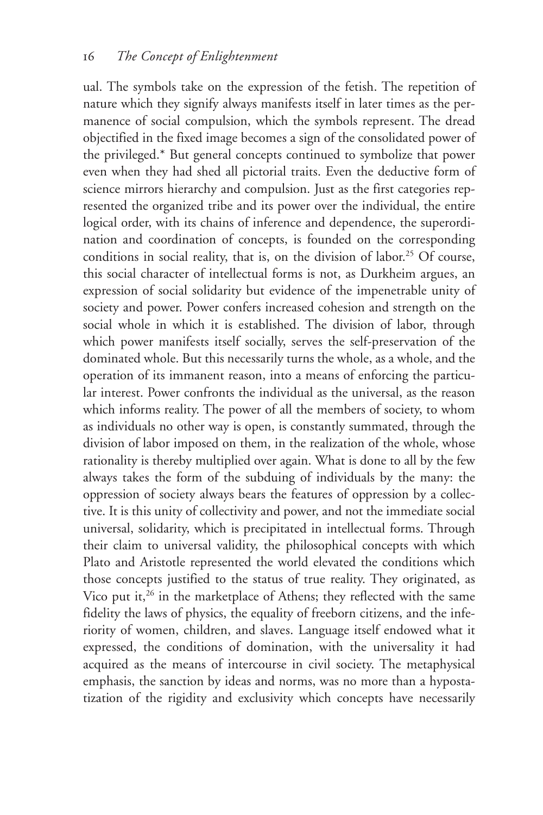ual. The symbols take on the expression of the fetish. The repetition of nature which they signify always manifests itself in later times as the permanence of social compulsion, which the symbols represent. The dread objectified in the fixed image becomes a sign of the consolidated power of the privileged.\* But general concepts continued to symbolize that power even when they had shed all pictorial traits. Even the deductive form of science mirrors hierarchy and compulsion. Just as the first categories represented the organized tribe and its power over the individual, the entire logical order, with its chains of inference and dependence, the superordination and coordination of concepts, is founded on the corresponding conditions in social reality, that is, on the division of labor.<sup>25</sup> Of course, this social character of intellectual forms is not, as Durkheim argues, an expression of social solidarity but evidence of the impenetrable unity of society and power. Power confers increased cohesion and strength on the social whole in which it is established. The division of labor, through which power manifests itself socially, serves the self-preservation of the dominated whole. But this necessarily turns the whole, as a whole, and the operation of its immanent reason, into a means of enforcing the particular interest. Power confronts the individual as the universal, as the reason which informs reality. The power of all the members of society, to whom as individuals no other way is open, is constantly summated, through the division of labor imposed on them, in the realization of the whole, whose rationality is thereby multiplied over again. What is done to all by the few always takes the form of the subduing of individuals by the many: the oppression of society always bears the features of oppression by a collective. It is this unity of collectivity and power, and not the immediate social universal, solidarity, which is precipitated in intellectual forms. Through their claim to universal validity, the philosophical concepts with which Plato and Aristotle represented the world elevated the conditions which those concepts justified to the status of true reality. They originated, as Vico put it, $26$  in the marketplace of Athens; they reflected with the same fidelity the laws of physics, the equality of freeborn citizens, and the inferiority of women, children, and slaves. Language itself endowed what it expressed, the conditions of domination, with the universality it had acquired as the means of intercourse in civil society. The metaphysical emphasis, the sanction by ideas and norms, was no more than a hypostatization of the rigidity and exclusivity which concepts have necessarily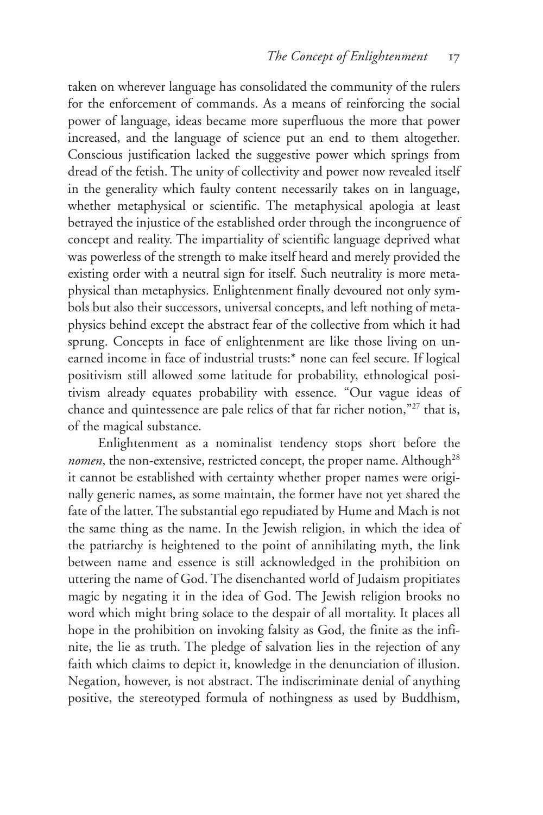taken on wherever language has consolidated the community of the rulers for the enforcement of commands. As a means of reinforcing the social power of language, ideas became more superfluous the more that power increased, and the language of science put an end to them altogether. Conscious justification lacked the suggestive power which springs from dread of the fetish. The unity of collectivity and power now revealed itself in the generality which faulty content necessarily takes on in language, whether metaphysical or scientific. The metaphysical apologia at least betrayed the injustice of the established order through the incongruence of concept and reality. The impartiality of scientific language deprived what was powerless of the strength to make itself heard and merely provided the existing order with a neutral sign for itself. Such neutrality is more metaphysical than metaphysics. Enlightenment finally devoured not only symbols but also their successors, universal concepts, and left nothing of metaphysics behind except the abstract fear of the collective from which it had sprung. Concepts in face of enlightenment are like those living on unearned income in face of industrial trusts:\* none can feel secure. If logical positivism still allowed some latitude for probability, ethnological positivism already equates probability with essence. "Our vague ideas of chance and quintessence are pale relics of that far richer notion,"27 that is, of the magical substance.

Enlightenment as a nominalist tendency stops short before the *nomen*, the non-extensive, restricted concept, the proper name. Although<sup>28</sup> it cannot be established with certainty whether proper names were originally generic names, as some maintain, the former have not yet shared the fate of the latter. The substantial ego repudiated by Hume and Mach is not the same thing as the name. In the Jewish religion, in which the idea of the patriarchy is heightened to the point of annihilating myth, the link between name and essence is still acknowledged in the prohibition on uttering the name of God. The disenchanted world of Judaism propitiates magic by negating it in the idea of God. The Jewish religion brooks no word which might bring solace to the despair of all mortality. It places all hope in the prohibition on invoking falsity as God, the finite as the infinite, the lie as truth. The pledge of salvation lies in the rejection of any faith which claims to depict it, knowledge in the denunciation of illusion. Negation, however, is not abstract. The indiscriminate denial of anything positive, the stereotyped formula of nothingness as used by Buddhism,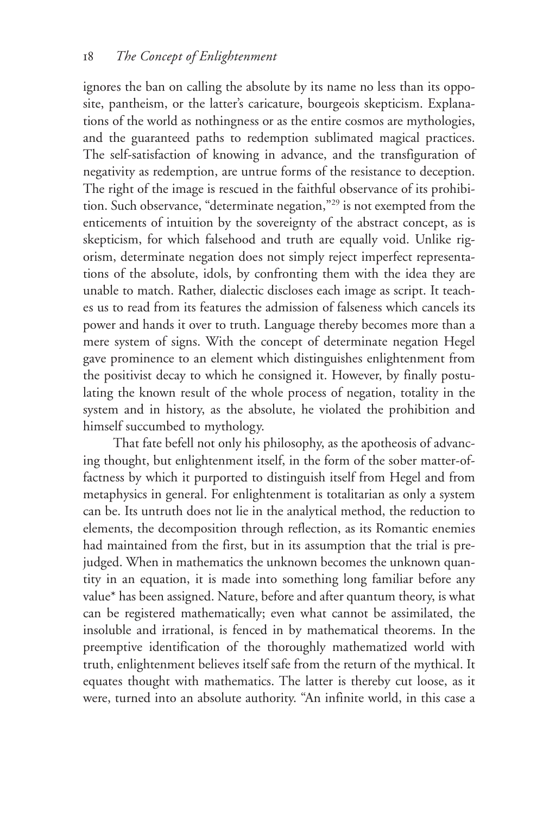ignores the ban on calling the absolute by its name no less than its opposite, pantheism, or the latter's caricature, bourgeois skepticism. Explanations of the world as nothingness or as the entire cosmos are mythologies, and the guaranteed paths to redemption sublimated magical practices. The self-satisfaction of knowing in advance, and the transfiguration of negativity as redemption, are untrue forms of the resistance to deception. The right of the image is rescued in the faithful observance of its prohibition. Such observance, "determinate negation,"29 is not exempted from the enticements of intuition by the sovereignty of the abstract concept, as is skepticism, for which falsehood and truth are equally void. Unlike rigorism, determinate negation does not simply reject imperfect representations of the absolute, idols, by confronting them with the idea they are unable to match. Rather, dialectic discloses each image as script. It teaches us to read from its features the admission of falseness which cancels its power and hands it over to truth. Language thereby becomes more than a mere system of signs. With the concept of determinate negation Hegel gave prominence to an element which distinguishes enlightenment from the positivist decay to which he consigned it. However, by finally postulating the known result of the whole process of negation, totality in the system and in history, as the absolute, he violated the prohibition and himself succumbed to mythology.

That fate befell not only his philosophy, as the apotheosis of advancing thought, but enlightenment itself, in the form of the sober matter-offactness by which it purported to distinguish itself from Hegel and from metaphysics in general. For enlightenment is totalitarian as only a system can be. Its untruth does not lie in the analytical method, the reduction to elements, the decomposition through reflection, as its Romantic enemies had maintained from the first, but in its assumption that the trial is prejudged. When in mathematics the unknown becomes the unknown quantity in an equation, it is made into something long familiar before any value\* has been assigned. Nature, before and after quantum theory, is what can be registered mathematically; even what cannot be assimilated, the insoluble and irrational, is fenced in by mathematical theorems. In the preemptive identification of the thoroughly mathematized world with truth, enlightenment believes itself safe from the return of the mythical. It equates thought with mathematics. The latter is thereby cut loose, as it were, turned into an absolute authority. "An infinite world, in this case a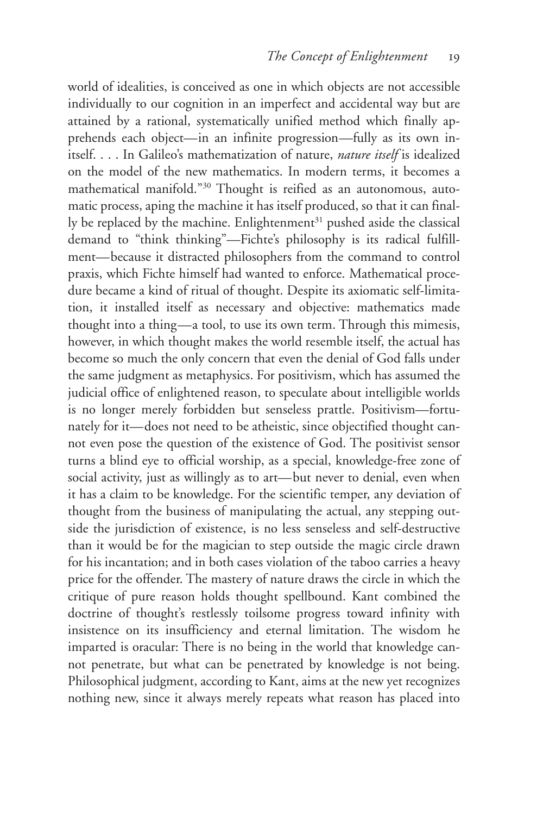world of idealities, is conceived as one in which objects are not accessible individually to our cognition in an imperfect and accidental way but are attained by a rational, systematically unified method which finally apprehends each object—in an infinite progression—fully as its own initself. . . . In Galileo's mathematization of nature, *nature itself* is idealized on the model of the new mathematics. In modern terms, it becomes a mathematical manifold."30 Thought is reified as an autonomous, automatic process, aping the machine it has itself produced, so that it can finally be replaced by the machine. Enlightenment $31$  pushed aside the classical demand to "think thinking"—Fichte's philosophy is its radical fulfillment—because it distracted philosophers from the command to control praxis, which Fichte himself had wanted to enforce. Mathematical procedure became a kind of ritual of thought. Despite its axiomatic self-limitation, it installed itself as necessary and objective: mathematics made thought into a thing—a tool, to use its own term. Through this mimesis, however, in which thought makes the world resemble itself, the actual has become so much the only concern that even the denial of God falls under the same judgment as metaphysics. For positivism, which has assumed the judicial office of enlightened reason, to speculate about intelligible worlds is no longer merely forbidden but senseless prattle. Positivism—fortunately for it—does not need to be atheistic, since objectified thought cannot even pose the question of the existence of God. The positivist sensor turns a blind eye to official worship, as a special, knowledge-free zone of social activity, just as willingly as to art—but never to denial, even when it has a claim to be knowledge. For the scientific temper, any deviation of thought from the business of manipulating the actual, any stepping outside the jurisdiction of existence, is no less senseless and self-destructive than it would be for the magician to step outside the magic circle drawn for his incantation; and in both cases violation of the taboo carries a heavy price for the offender. The mastery of nature draws the circle in which the critique of pure reason holds thought spellbound. Kant combined the doctrine of thought's restlessly toilsome progress toward infinity with insistence on its insufficiency and eternal limitation. The wisdom he imparted is oracular: There is no being in the world that knowledge cannot penetrate, but what can be penetrated by knowledge is not being. Philosophical judgment, according to Kant, aims at the new yet recognizes nothing new, since it always merely repeats what reason has placed into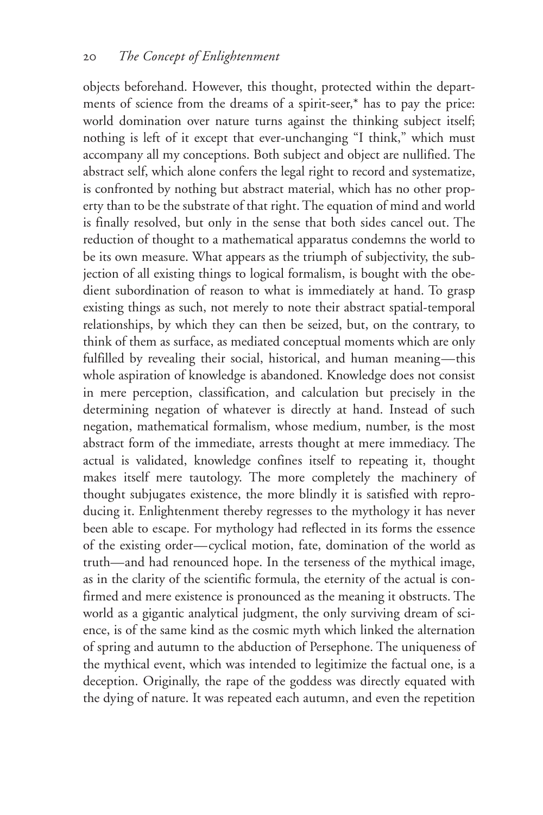objects beforehand. However, this thought, protected within the departments of science from the dreams of a spirit-seer,\* has to pay the price: world domination over nature turns against the thinking subject itself; nothing is left of it except that ever-unchanging "I think," which must accompany all my conceptions. Both subject and object are nullified. The abstract self, which alone confers the legal right to record and systematize, is confronted by nothing but abstract material, which has no other property than to be the substrate of that right. The equation of mind and world is finally resolved, but only in the sense that both sides cancel out. The reduction of thought to a mathematical apparatus condemns the world to be its own measure. What appears as the triumph of subjectivity, the subjection of all existing things to logical formalism, is bought with the obedient subordination of reason to what is immediately at hand. To grasp existing things as such, not merely to note their abstract spatial-temporal relationships, by which they can then be seized, but, on the contrary, to think of them as surface, as mediated conceptual moments which are only fulfilled by revealing their social, historical, and human meaning—this whole aspiration of knowledge is abandoned. Knowledge does not consist in mere perception, classification, and calculation but precisely in the determining negation of whatever is directly at hand. Instead of such negation, mathematical formalism, whose medium, number, is the most abstract form of the immediate, arrests thought at mere immediacy. The actual is validated, knowledge confines itself to repeating it, thought makes itself mere tautology. The more completely the machinery of thought subjugates existence, the more blindly it is satisfied with reproducing it. Enlightenment thereby regresses to the mythology it has never been able to escape. For mythology had reflected in its forms the essence of the existing order—cyclical motion, fate, domination of the world as truth—and had renounced hope. In the terseness of the mythical image, as in the clarity of the scientific formula, the eternity of the actual is confirmed and mere existence is pronounced as the meaning it obstructs. The world as a gigantic analytical judgment, the only surviving dream of science, is of the same kind as the cosmic myth which linked the alternation of spring and autumn to the abduction of Persephone. The uniqueness of the mythical event, which was intended to legitimize the factual one, is a deception. Originally, the rape of the goddess was directly equated with the dying of nature. It was repeated each autumn, and even the repetition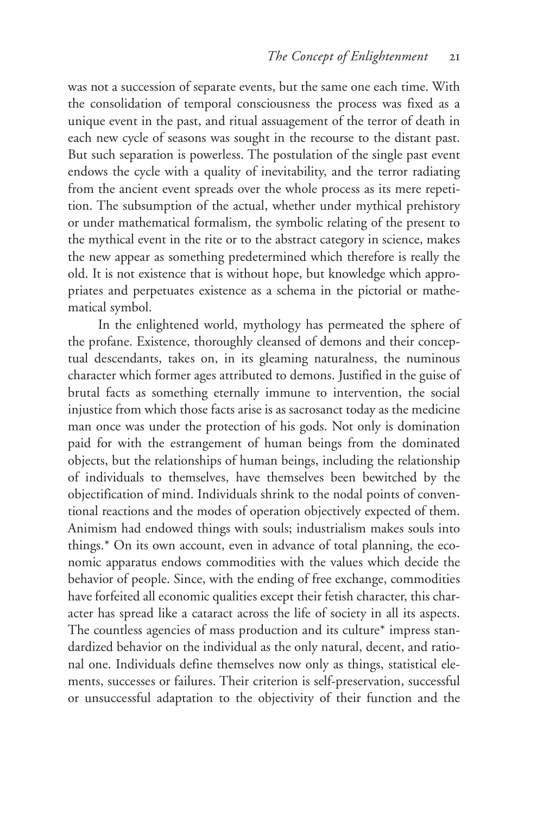was not a succession of separate events, but the same one each time. With the consolidation of temporal consciousness the process was fixed as a unique event in the past, and ritual assuagement of the terror of death in each new cycle of seasons was sought in the recourse to the distant past. But such separation is powerless. The postulation of the single past event endows the cycle with a quality of inevitability, and the terror radiating from the ancient event spreads over the whole process as its mere repetition. The subsumption of the actual, whether under mythical prehistory or under mathematical formalism, the symbolic relating of the present to the mythical event in the rite or to the abstract category in science, makes the new appear as something predetermined which therefore is really the old. It is not existence that is without hope, but knowledge which appropriates and perpetuates existence as a schema in the pictorial or mathematical symbol.

In the enlightened world, mythology has permeated the sphere of the profane. Existence, thoroughly cleansed of demons and their conceptual descendants, takes on, in its gleaming naturalness, the numinous character which former ages attributed to demons. Justified in the guise of brutal facts as something eternally immune to intervention, the social injustice from which those facts arise is as sacrosanct today as the medicine man once was under the protection of his gods. Not only is domination paid for with the estrangement of human beings from the dominated objects, but the relationships of human beings, including the relationship of individuals to themselves, have themselves been bewitched by the objectification of mind. Individuals shrink to the nodal points of conventional reactions and the modes of operation objectively expected of them. Animism had endowed things with souls; industrialism makes souls into things.\* On its own account, even in advance of total planning, the economic apparatus endows commodities with the values which decide the behavior of people. Since, with the ending of free exchange, commodities have forfeited all economic qualities except their fetish character, this character has spread like a cataract across the life of society in all its aspects. The countless agencies of mass production and its culture\* impress standardized behavior on the individual as the only natural, decent, and rational one. Individuals define themselves now only as things, statistical elements, successes or failures. Their criterion is self-preservation, successful or unsuccessful adaptation to the objectivity of their function and the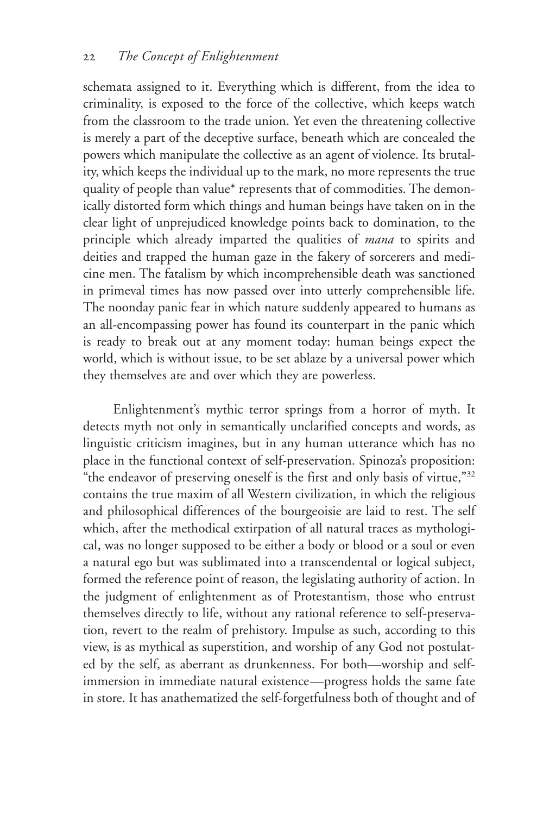schemata assigned to it. Everything which is different, from the idea to criminality, is exposed to the force of the collective, which keeps watch from the classroom to the trade union. Yet even the threatening collective is merely a part of the deceptive surface, beneath which are concealed the powers which manipulate the collective as an agent of violence. Its brutality, which keeps the individual up to the mark, no more represents the true quality of people than value\* represents that of commodities. The demonically distorted form which things and human beings have taken on in the clear light of unprejudiced knowledge points back to domination, to the principle which already imparted the qualities of *mana* to spirits and deities and trapped the human gaze in the fakery of sorcerers and medicine men. The fatalism by which incomprehensible death was sanctioned in primeval times has now passed over into utterly comprehensible life. The noonday panic fear in which nature suddenly appeared to humans as an all-encompassing power has found its counterpart in the panic which is ready to break out at any moment today: human beings expect the world, which is without issue, to be set ablaze by a universal power which they themselves are and over which they are powerless.

Enlightenment's mythic terror springs from a horror of myth. It detects myth not only in semantically unclarified concepts and words, as linguistic criticism imagines, but in any human utterance which has no place in the functional context of self-preservation. Spinoza's proposition: "the endeavor of preserving oneself is the first and only basis of virtue,"32 contains the true maxim of all Western civilization, in which the religious and philosophical differences of the bourgeoisie are laid to rest. The self which, after the methodical extirpation of all natural traces as mythological, was no longer supposed to be either a body or blood or a soul or even a natural ego but was sublimated into a transcendental or logical subject, formed the reference point of reason, the legislating authority of action. In the judgment of enlightenment as of Protestantism, those who entrust themselves directly to life, without any rational reference to self-preservation, revert to the realm of prehistory. Impulse as such, according to this view, is as mythical as superstition, and worship of any God not postulated by the self, as aberrant as drunkenness. For both—worship and selfimmersion in immediate natural existence—progress holds the same fate in store. It has anathematized the self-forgetfulness both of thought and of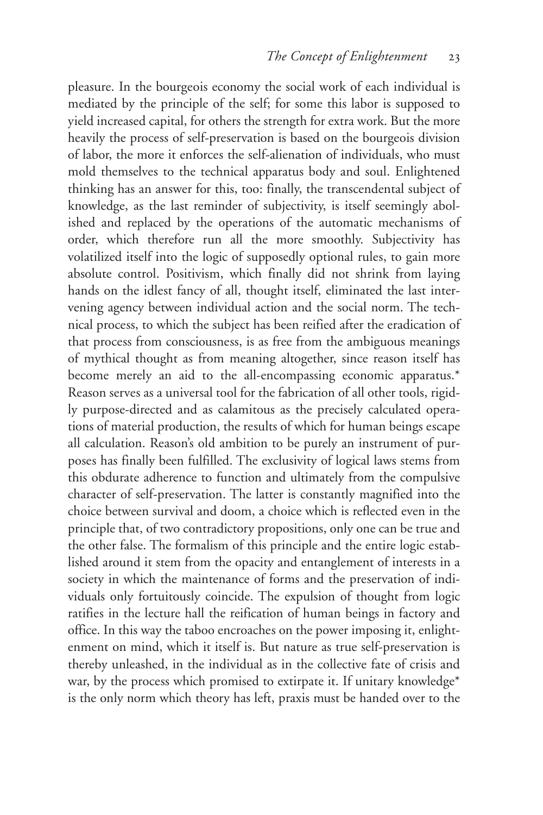pleasure. In the bourgeois economy the social work of each individual is mediated by the principle of the self; for some this labor is supposed to yield increased capital, for others the strength for extra work. But the more heavily the process of self-preservation is based on the bourgeois division of labor, the more it enforces the self-alienation of individuals, who must mold themselves to the technical apparatus body and soul. Enlightened thinking has an answer for this, too: finally, the transcendental subject of knowledge, as the last reminder of subjectivity, is itself seemingly abolished and replaced by the operations of the automatic mechanisms of order, which therefore run all the more smoothly. Subjectivity has volatilized itself into the logic of supposedly optional rules, to gain more absolute control. Positivism, which finally did not shrink from laying hands on the idlest fancy of all, thought itself, eliminated the last intervening agency between individual action and the social norm. The technical process, to which the subject has been reified after the eradication of that process from consciousness, is as free from the ambiguous meanings of mythical thought as from meaning altogether, since reason itself has become merely an aid to the all-encompassing economic apparatus.\* Reason serves as a universal tool for the fabrication of all other tools, rigidly purpose-directed and as calamitous as the precisely calculated operations of material production, the results of which for human beings escape all calculation. Reason's old ambition to be purely an instrument of purposes has finally been fulfilled. The exclusivity of logical laws stems from this obdurate adherence to function and ultimately from the compulsive character of self-preservation. The latter is constantly magnified into the choice between survival and doom, a choice which is reflected even in the principle that, of two contradictory propositions, only one can be true and the other false. The formalism of this principle and the entire logic established around it stem from the opacity and entanglement of interests in a society in which the maintenance of forms and the preservation of individuals only fortuitously coincide. The expulsion of thought from logic ratifies in the lecture hall the reification of human beings in factory and office. In this way the taboo encroaches on the power imposing it, enlightenment on mind, which it itself is. But nature as true self-preservation is thereby unleashed, in the individual as in the collective fate of crisis and war, by the process which promised to extirpate it. If unitary knowledge<sup>\*</sup> is the only norm which theory has left, praxis must be handed over to the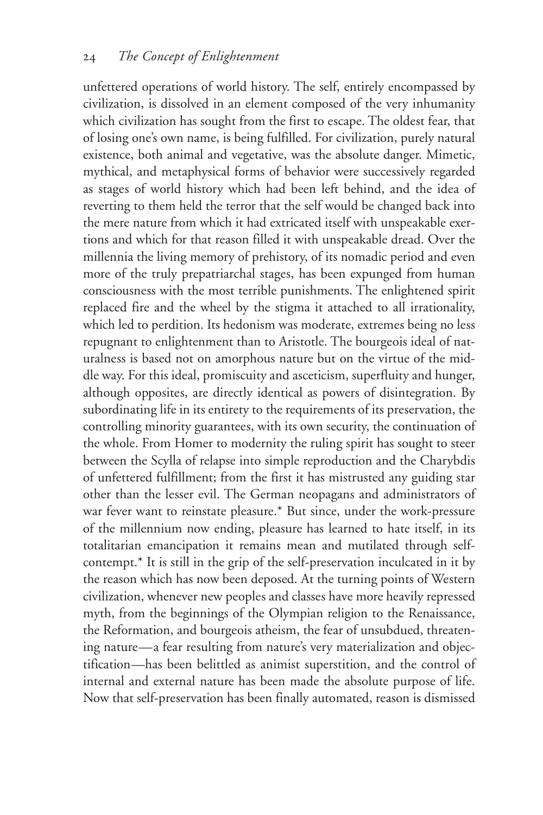unfettered operations of world history. The self, entirely encompassed by civilization, is dissolved in an element composed of the very inhumanity which civilization has sought from the first to escape. The oldest fear, that of losing one's own name, is being fulfilled. For civilization, purely natural existence, both animal and vegetative, was the absolute danger. Mimetic, mythical, and metaphysical forms of behavior were successively regarded as stages of world history which had been left behind, and the idea of reverting to them held the terror that the self would be changed back into the mere nature from which it had extricated itself with unspeakable exertions and which for that reason filled it with unspeakable dread. Over the millennia the living memory of prehistory, of its nomadic period and even more of the truly prepatriarchal stages, has been expunged from human consciousness with the most terrible punishments. The enlightened spirit replaced fire and the wheel by the stigma it attached to all irrationality, which led to perdition. Its hedonism was moderate, extremes being no less repugnant to enlightenment than to Aristotle. The bourgeois ideal of naturalness is based not on amorphous nature but on the virtue of the middle way. For this ideal, promiscuity and asceticism, superfluity and hunger, although opposites, are directly identical as powers of disintegration. By subordinating life in its entirety to the requirements of its preservation, the controlling minority guarantees, with its own security, the continuation of the whole. From Homer to modernity the ruling spirit has sought to steer between the Scylla of relapse into simple reproduction and the Charybdis of unfettered fulfillment; from the first it has mistrusted any guiding star other than the lesser evil. The German neopagans and administrators of war fever want to reinstate pleasure.\* But since, under the work-pressure of the millennium now ending, pleasure has learned to hate itself, in its totalitarian emancipation it remains mean and mutilated through selfcontempt.\* It is still in the grip of the self-preservation inculcated in it by the reason which has now been deposed. At the turning points of Western civilization, whenever new peoples and classes have more heavily repressed myth, from the beginnings of the Olympian religion to the Renaissance, the Reformation, and bourgeois atheism, the fear of unsubdued, threatening nature—a fear resulting from nature's very materialization and objectification—has been belittled as animist superstition, and the control of internal and external nature has been made the absolute purpose of life. Now that self-preservation has been finally automated, reason is dismissed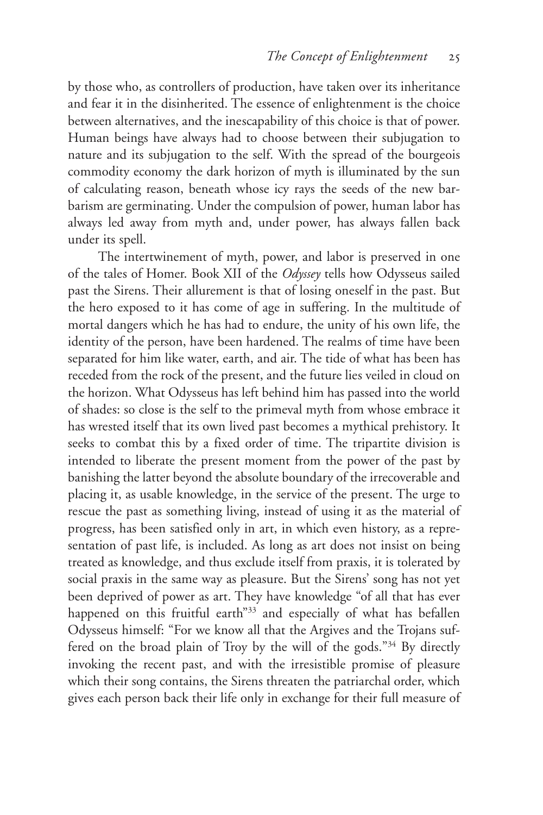by those who, as controllers of production, have taken over its inheritance and fear it in the disinherited. The essence of enlightenment is the choice between alternatives, and the inescapability of this choice is that of power. Human beings have always had to choose between their subjugation to nature and its subjugation to the self. With the spread of the bourgeois commodity economy the dark horizon of myth is illuminated by the sun of calculating reason, beneath whose icy rays the seeds of the new barbarism are germinating. Under the compulsion of power, human labor has always led away from myth and, under power, has always fallen back under its spell.

The intertwinement of myth, power, and labor is preserved in one of the tales of Homer. Book XII of the *Odyssey* tells how Odysseus sailed past the Sirens. Their allurement is that of losing oneself in the past. But the hero exposed to it has come of age in suffering. In the multitude of mortal dangers which he has had to endure, the unity of his own life, the identity of the person, have been hardened. The realms of time have been separated for him like water, earth, and air. The tide of what has been has receded from the rock of the present, and the future lies veiled in cloud on the horizon. What Odysseus has left behind him has passed into the world of shades: so close is the self to the primeval myth from whose embrace it has wrested itself that its own lived past becomes a mythical prehistory. It seeks to combat this by a fixed order of time. The tripartite division is intended to liberate the present moment from the power of the past by banishing the latter beyond the absolute boundary of the irrecoverable and placing it, as usable knowledge, in the service of the present. The urge to rescue the past as something living, instead of using it as the material of progress, has been satisfied only in art, in which even history, as a representation of past life, is included. As long as art does not insist on being treated as knowledge, and thus exclude itself from praxis, it is tolerated by social praxis in the same way as pleasure. But the Sirens' song has not yet been deprived of power as art. They have knowledge "of all that has ever happened on this fruitful earth<sup>"33</sup> and especially of what has befallen Odysseus himself: "For we know all that the Argives and the Trojans suffered on the broad plain of Troy by the will of the gods."34 By directly invoking the recent past, and with the irresistible promise of pleasure which their song contains, the Sirens threaten the patriarchal order, which gives each person back their life only in exchange for their full measure of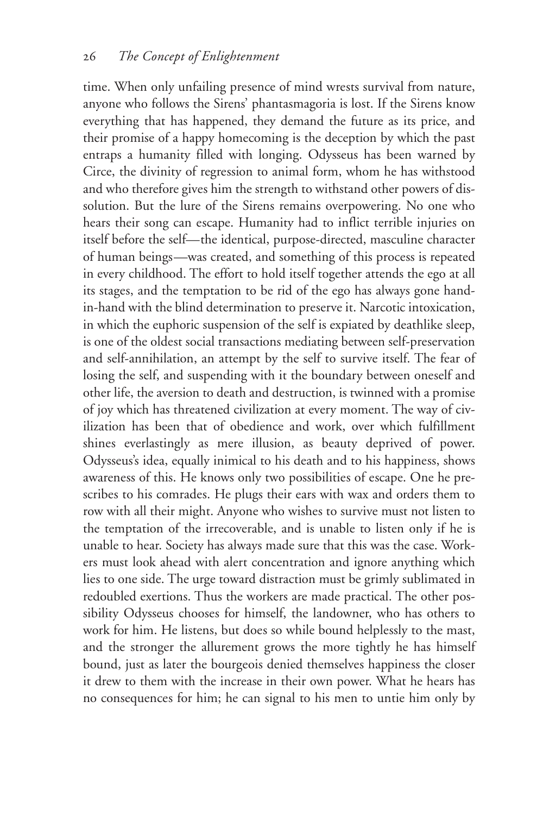time. When only unfailing presence of mind wrests survival from nature, anyone who follows the Sirens' phantasmagoria is lost. If the Sirens know everything that has happened, they demand the future as its price, and their promise of a happy homecoming is the deception by which the past entraps a humanity filled with longing. Odysseus has been warned by Circe, the divinity of regression to animal form, whom he has withstood and who therefore gives him the strength to withstand other powers of dissolution. But the lure of the Sirens remains overpowering. No one who hears their song can escape. Humanity had to inflict terrible injuries on itself before the self—the identical, purpose-directed, masculine character of human beings—was created, and something of this process is repeated in every childhood. The effort to hold itself together attends the ego at all its stages, and the temptation to be rid of the ego has always gone handin-hand with the blind determination to preserve it. Narcotic intoxication, in which the euphoric suspension of the self is expiated by deathlike sleep, is one of the oldest social transactions mediating between self-preservation and self-annihilation, an attempt by the self to survive itself. The fear of losing the self, and suspending with it the boundary between oneself and other life, the aversion to death and destruction, is twinned with a promise of joy which has threatened civilization at every moment. The way of civilization has been that of obedience and work, over which fulfillment shines everlastingly as mere illusion, as beauty deprived of power. Odysseus's idea, equally inimical to his death and to his happiness, shows awareness of this. He knows only two possibilities of escape. One he prescribes to his comrades. He plugs their ears with wax and orders them to row with all their might. Anyone who wishes to survive must not listen to the temptation of the irrecoverable, and is unable to listen only if he is unable to hear. Society has always made sure that this was the case. Workers must look ahead with alert concentration and ignore anything which lies to one side. The urge toward distraction must be grimly sublimated in redoubled exertions. Thus the workers are made practical. The other possibility Odysseus chooses for himself, the landowner, who has others to work for him. He listens, but does so while bound helplessly to the mast, and the stronger the allurement grows the more tightly he has himself bound, just as later the bourgeois denied themselves happiness the closer it drew to them with the increase in their own power. What he hears has no consequences for him; he can signal to his men to untie him only by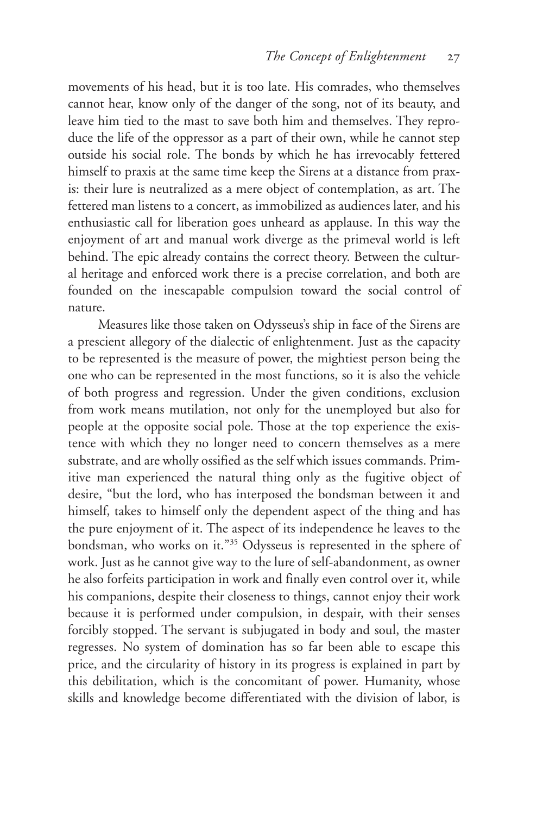movements of his head, but it is too late. His comrades, who themselves cannot hear, know only of the danger of the song, not of its beauty, and leave him tied to the mast to save both him and themselves. They reproduce the life of the oppressor as a part of their own, while he cannot step outside his social role. The bonds by which he has irrevocably fettered himself to praxis at the same time keep the Sirens at a distance from praxis: their lure is neutralized as a mere object of contemplation, as art. The fettered man listens to a concert, as immobilized as audiences later, and his enthusiastic call for liberation goes unheard as applause. In this way the enjoyment of art and manual work diverge as the primeval world is left behind. The epic already contains the correct theory. Between the cultural heritage and enforced work there is a precise correlation, and both are founded on the inescapable compulsion toward the social control of nature.

Measures like those taken on Odysseus's ship in face of the Sirens are a prescient allegory of the dialectic of enlightenment. Just as the capacity to be represented is the measure of power, the mightiest person being the one who can be represented in the most functions, so it is also the vehicle of both progress and regression. Under the given conditions, exclusion from work means mutilation, not only for the unemployed but also for people at the opposite social pole. Those at the top experience the existence with which they no longer need to concern themselves as a mere substrate, and are wholly ossified as the self which issues commands. Primitive man experienced the natural thing only as the fugitive object of desire, "but the lord, who has interposed the bondsman between it and himself, takes to himself only the dependent aspect of the thing and has the pure enjoyment of it. The aspect of its independence he leaves to the bondsman, who works on it."35 Odysseus is represented in the sphere of work. Just as he cannot give way to the lure of self-abandonment, as owner he also forfeits participation in work and finally even control over it, while his companions, despite their closeness to things, cannot enjoy their work because it is performed under compulsion, in despair, with their senses forcibly stopped. The servant is subjugated in body and soul, the master regresses. No system of domination has so far been able to escape this price, and the circularity of history in its progress is explained in part by this debilitation, which is the concomitant of power. Humanity, whose skills and knowledge become differentiated with the division of labor, is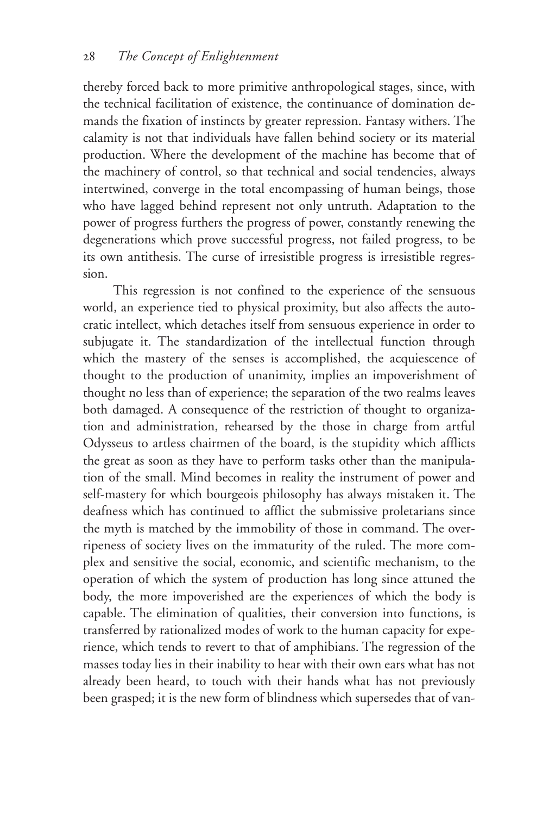thereby forced back to more primitive anthropological stages, since, with the technical facilitation of existence, the continuance of domination demands the fixation of instincts by greater repression. Fantasy withers. The calamity is not that individuals have fallen behind society or its material production. Where the development of the machine has become that of the machinery of control, so that technical and social tendencies, always intertwined, converge in the total encompassing of human beings, those who have lagged behind represent not only untruth. Adaptation to the power of progress furthers the progress of power, constantly renewing the degenerations which prove successful progress, not failed progress, to be its own antithesis. The curse of irresistible progress is irresistible regression.

This regression is not confined to the experience of the sensuous world, an experience tied to physical proximity, but also affects the autocratic intellect, which detaches itself from sensuous experience in order to subjugate it. The standardization of the intellectual function through which the mastery of the senses is accomplished, the acquiescence of thought to the production of unanimity, implies an impoverishment of thought no less than of experience; the separation of the two realms leaves both damaged. A consequence of the restriction of thought to organization and administration, rehearsed by the those in charge from artful Odysseus to artless chairmen of the board, is the stupidity which afflicts the great as soon as they have to perform tasks other than the manipulation of the small. Mind becomes in reality the instrument of power and self-mastery for which bourgeois philosophy has always mistaken it. The deafness which has continued to afflict the submissive proletarians since the myth is matched by the immobility of those in command. The overripeness of society lives on the immaturity of the ruled. The more complex and sensitive the social, economic, and scientific mechanism, to the operation of which the system of production has long since attuned the body, the more impoverished are the experiences of which the body is capable. The elimination of qualities, their conversion into functions, is transferred by rationalized modes of work to the human capacity for experience, which tends to revert to that of amphibians. The regression of the masses today lies in their inability to hear with their own ears what has not already been heard, to touch with their hands what has not previously been grasped; it is the new form of blindness which supersedes that of van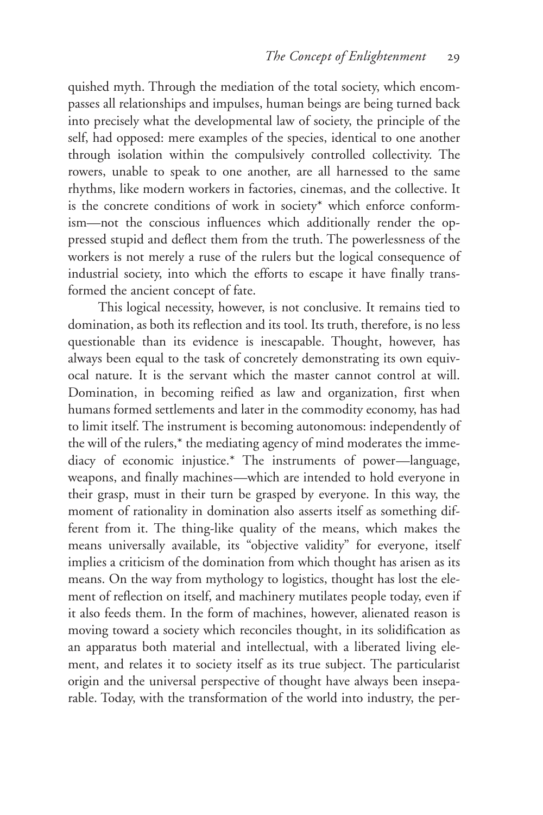quished myth. Through the mediation of the total society, which encompasses all relationships and impulses, human beings are being turned back into precisely what the developmental law of society, the principle of the self, had opposed: mere examples of the species, identical to one another through isolation within the compulsively controlled collectivity. The rowers, unable to speak to one another, are all harnessed to the same rhythms, like modern workers in factories, cinemas, and the collective. It is the concrete conditions of work in society\* which enforce conformism—not the conscious influences which additionally render the oppressed stupid and deflect them from the truth. The powerlessness of the workers is not merely a ruse of the rulers but the logical consequence of industrial society, into which the efforts to escape it have finally transformed the ancient concept of fate.

This logical necessity, however, is not conclusive. It remains tied to domination, as both its reflection and its tool. Its truth, therefore, is no less questionable than its evidence is inescapable. Thought, however, has always been equal to the task of concretely demonstrating its own equivocal nature. It is the servant which the master cannot control at will. Domination, in becoming reified as law and organization, first when humans formed settlements and later in the commodity economy, has had to limit itself. The instrument is becoming autonomous: independently of the will of the rulers,\* the mediating agency of mind moderates the immediacy of economic injustice.\* The instruments of power—language, weapons, and finally machines—which are intended to hold everyone in their grasp, must in their turn be grasped by everyone. In this way, the moment of rationality in domination also asserts itself as something different from it. The thing-like quality of the means, which makes the means universally available, its "objective validity" for everyone, itself implies a criticism of the domination from which thought has arisen as its means. On the way from mythology to logistics, thought has lost the element of reflection on itself, and machinery mutilates people today, even if it also feeds them. In the form of machines, however, alienated reason is moving toward a society which reconciles thought, in its solidification as an apparatus both material and intellectual, with a liberated living element, and relates it to society itself as its true subject. The particularist origin and the universal perspective of thought have always been inseparable. Today, with the transformation of the world into industry, the per-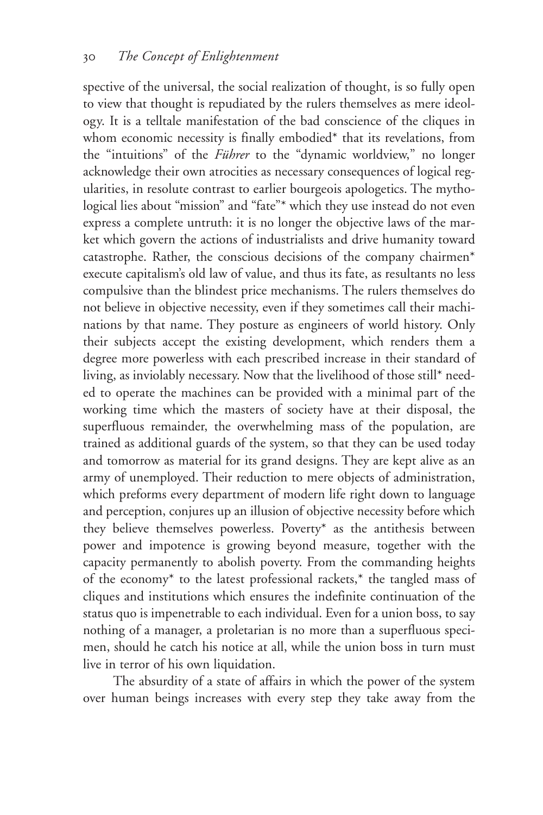spective of the universal, the social realization of thought, is so fully open to view that thought is repudiated by the rulers themselves as mere ideology. It is a telltale manifestation of the bad conscience of the cliques in whom economic necessity is finally embodied<sup>\*</sup> that its revelations, from the "intuitions" of the *Führer* to the "dynamic worldview," no longer acknowledge their own atrocities as necessary consequences of logical regularities, in resolute contrast to earlier bourgeois apologetics. The mythological lies about "mission" and "fate"\* which they use instead do not even express a complete untruth: it is no longer the objective laws of the market which govern the actions of industrialists and drive humanity toward catastrophe. Rather, the conscious decisions of the company chairmen\* execute capitalism's old law of value, and thus its fate, as resultants no less compulsive than the blindest price mechanisms. The rulers themselves do not believe in objective necessity, even if they sometimes call their machinations by that name. They posture as engineers of world history. Only their subjects accept the existing development, which renders them a degree more powerless with each prescribed increase in their standard of living, as inviolably necessary. Now that the livelihood of those still\* needed to operate the machines can be provided with a minimal part of the working time which the masters of society have at their disposal, the superfluous remainder, the overwhelming mass of the population, are trained as additional guards of the system, so that they can be used today and tomorrow as material for its grand designs. They are kept alive as an army of unemployed. Their reduction to mere objects of administration, which preforms every department of modern life right down to language and perception, conjures up an illusion of objective necessity before which they believe themselves powerless. Poverty\* as the antithesis between power and impotence is growing beyond measure, together with the capacity permanently to abolish poverty. From the commanding heights of the economy\* to the latest professional rackets,\* the tangled mass of cliques and institutions which ensures the indefinite continuation of the status quo is impenetrable to each individual. Even for a union boss, to say nothing of a manager, a proletarian is no more than a superfluous specimen, should he catch his notice at all, while the union boss in turn must live in terror of his own liquidation.

The absurdity of a state of affairs in which the power of the system over human beings increases with every step they take away from the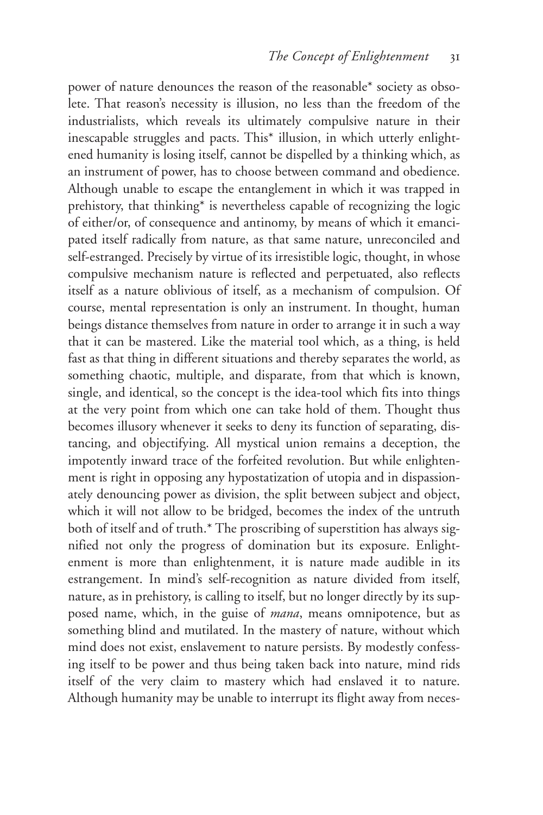power of nature denounces the reason of the reasonable\* society as obsolete. That reason's necessity is illusion, no less than the freedom of the industrialists, which reveals its ultimately compulsive nature in their inescapable struggles and pacts. This\* illusion, in which utterly enlightened humanity is losing itself, cannot be dispelled by a thinking which, as an instrument of power, has to choose between command and obedience. Although unable to escape the entanglement in which it was trapped in prehistory, that thinking\* is nevertheless capable of recognizing the logic of either/or, of consequence and antinomy, by means of which it emancipated itself radically from nature, as that same nature, unreconciled and self-estranged. Precisely by virtue of its irresistible logic, thought, in whose compulsive mechanism nature is reflected and perpetuated, also reflects itself as a nature oblivious of itself, as a mechanism of compulsion. Of course, mental representation is only an instrument. In thought, human beings distance themselves from nature in order to arrange it in such a way that it can be mastered. Like the material tool which, as a thing, is held fast as that thing in different situations and thereby separates the world, as something chaotic, multiple, and disparate, from that which is known, single, and identical, so the concept is the idea-tool which fits into things at the very point from which one can take hold of them. Thought thus becomes illusory whenever it seeks to deny its function of separating, distancing, and objectifying. All mystical union remains a deception, the impotently inward trace of the forfeited revolution. But while enlightenment is right in opposing any hypostatization of utopia and in dispassionately denouncing power as division, the split between subject and object, which it will not allow to be bridged, becomes the index of the untruth both of itself and of truth.\* The proscribing of superstition has always signified not only the progress of domination but its exposure. Enlightenment is more than enlightenment, it is nature made audible in its estrangement. In mind's self-recognition as nature divided from itself, nature, as in prehistory, is calling to itself, but no longer directly by its supposed name, which, in the guise of *mana*, means omnipotence, but as something blind and mutilated. In the mastery of nature, without which mind does not exist, enslavement to nature persists. By modestly confessing itself to be power and thus being taken back into nature, mind rids itself of the very claim to mastery which had enslaved it to nature. Although humanity may be unable to interrupt its flight away from neces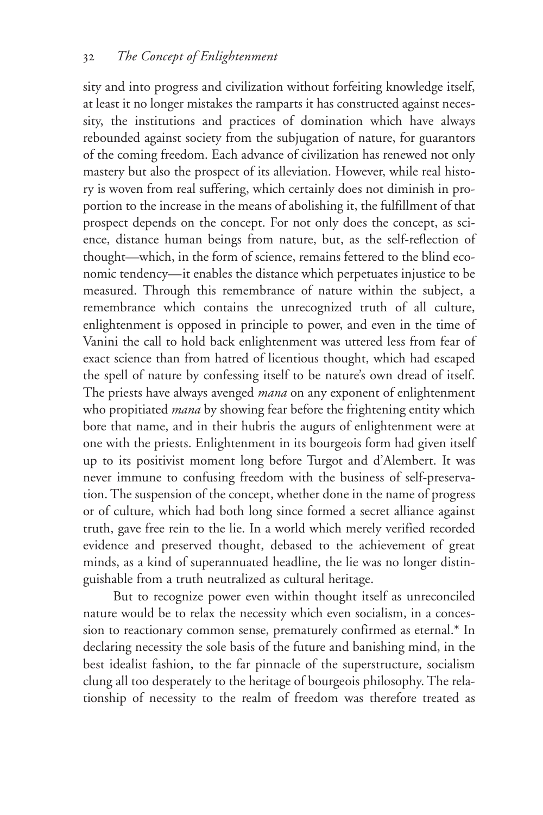sity and into progress and civilization without forfeiting knowledge itself, at least it no longer mistakes the ramparts it has constructed against necessity, the institutions and practices of domination which have always rebounded against society from the subjugation of nature, for guarantors of the coming freedom. Each advance of civilization has renewed not only mastery but also the prospect of its alleviation. However, while real history is woven from real suffering, which certainly does not diminish in proportion to the increase in the means of abolishing it, the fulfillment of that prospect depends on the concept. For not only does the concept, as science, distance human beings from nature, but, as the self-reflection of thought—which, in the form of science, remains fettered to the blind economic tendency—it enables the distance which perpetuates injustice to be measured. Through this remembrance of nature within the subject, a remembrance which contains the unrecognized truth of all culture, enlightenment is opposed in principle to power, and even in the time of Vanini the call to hold back enlightenment was uttered less from fear of exact science than from hatred of licentious thought, which had escaped the spell of nature by confessing itself to be nature's own dread of itself. The priests have always avenged *mana* on any exponent of enlightenment who propitiated *mana* by showing fear before the frightening entity which bore that name, and in their hubris the augurs of enlightenment were at one with the priests. Enlightenment in its bourgeois form had given itself up to its positivist moment long before Turgot and d'Alembert. It was never immune to confusing freedom with the business of self-preservation. The suspension of the concept, whether done in the name of progress or of culture, which had both long since formed a secret alliance against truth, gave free rein to the lie. In a world which merely verified recorded evidence and preserved thought, debased to the achievement of great minds, as a kind of superannuated headline, the lie was no longer distinguishable from a truth neutralized as cultural heritage.

But to recognize power even within thought itself as unreconciled nature would be to relax the necessity which even socialism, in a concession to reactionary common sense, prematurely confirmed as eternal.\* In declaring necessity the sole basis of the future and banishing mind, in the best idealist fashion, to the far pinnacle of the superstructure, socialism clung all too desperately to the heritage of bourgeois philosophy. The relationship of necessity to the realm of freedom was therefore treated as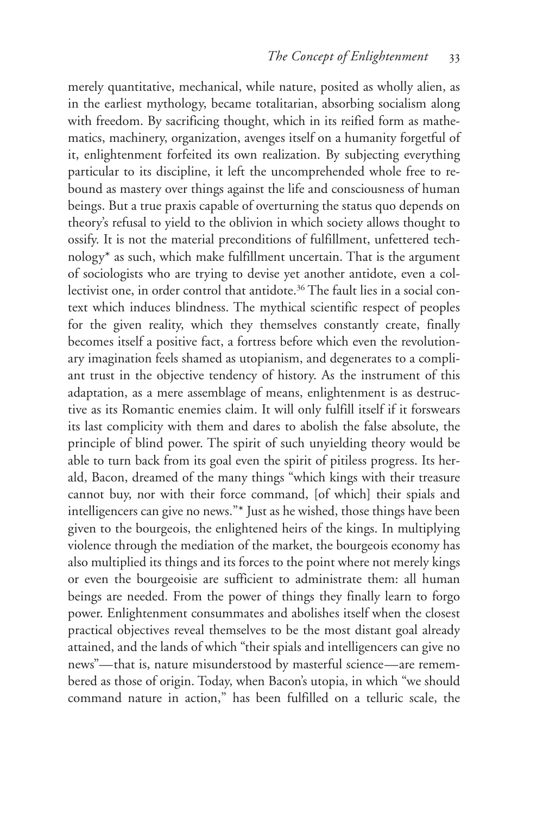merely quantitative, mechanical, while nature, posited as wholly alien, as in the earliest mythology, became totalitarian, absorbing socialism along with freedom. By sacrificing thought, which in its reified form as mathematics, machinery, organization, avenges itself on a humanity forgetful of it, enlightenment forfeited its own realization. By subjecting everything particular to its discipline, it left the uncomprehended whole free to rebound as mastery over things against the life and consciousness of human beings. But a true praxis capable of overturning the status quo depends on theory's refusal to yield to the oblivion in which society allows thought to ossify. It is not the material preconditions of fulfillment, unfettered technology\* as such, which make fulfillment uncertain. That is the argument of sociologists who are trying to devise yet another antidote, even a collectivist one, in order control that antidote.<sup>36</sup> The fault lies in a social context which induces blindness. The mythical scientific respect of peoples for the given reality, which they themselves constantly create, finally becomes itself a positive fact, a fortress before which even the revolutionary imagination feels shamed as utopianism, and degenerates to a compliant trust in the objective tendency of history. As the instrument of this adaptation, as a mere assemblage of means, enlightenment is as destructive as its Romantic enemies claim. It will only fulfill itself if it forswears its last complicity with them and dares to abolish the false absolute, the principle of blind power. The spirit of such unyielding theory would be able to turn back from its goal even the spirit of pitiless progress. Its herald, Bacon, dreamed of the many things "which kings with their treasure cannot buy, nor with their force command, [of which] their spials and intelligencers can give no news."\* Just as he wished, those things have been given to the bourgeois, the enlightened heirs of the kings. In multiplying violence through the mediation of the market, the bourgeois economy has also multiplied its things and its forces to the point where not merely kings or even the bourgeoisie are sufficient to administrate them: all human beings are needed. From the power of things they finally learn to forgo power. Enlightenment consummates and abolishes itself when the closest practical objectives reveal themselves to be the most distant goal already attained, and the lands of which "their spials and intelligencers can give no news"—that is, nature misunderstood by masterful science—are remembered as those of origin. Today, when Bacon's utopia, in which "we should command nature in action," has been fulfilled on a telluric scale, the